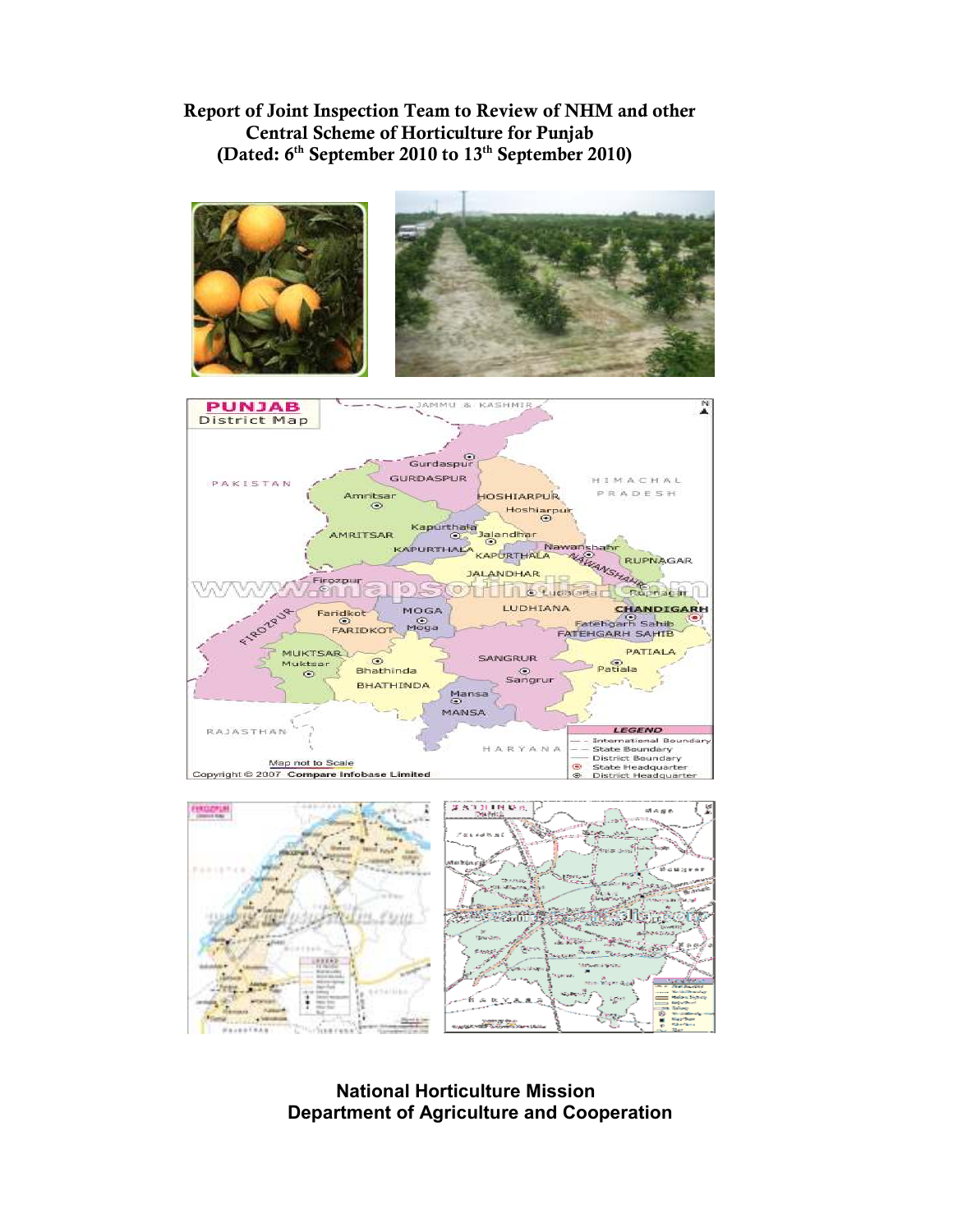# Report of Joint Inspection Team to Review of NHM and other Central Scheme of Horticulture for Punjab (Dated: 6<sup>th</sup> September 2010 to 13<sup>th</sup> September 2010)



 National Horticulture Mission Department of Agriculture and Cooperation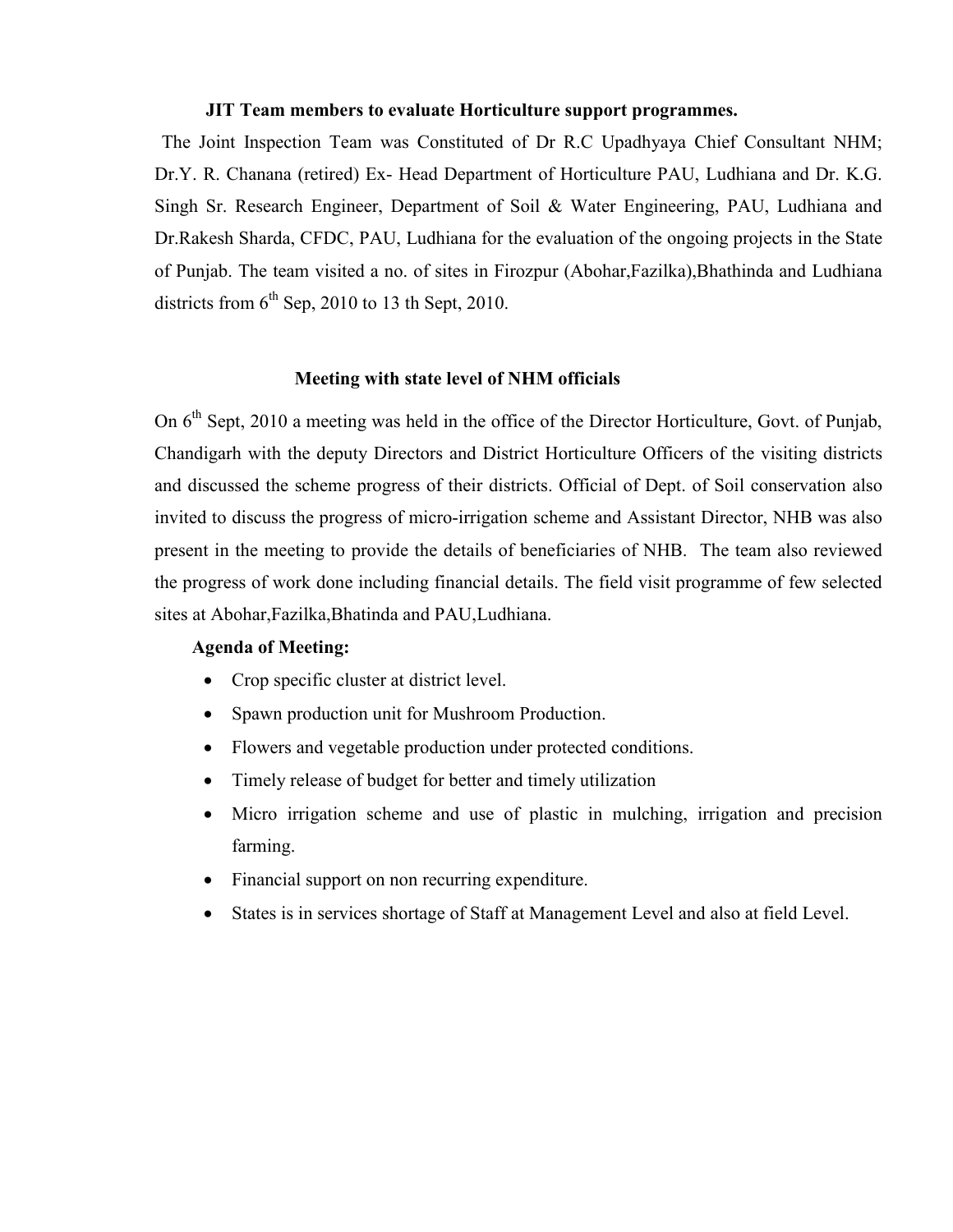#### JIT Team members to evaluate Horticulture support programmes.

 The Joint Inspection Team was Constituted of Dr R.C Upadhyaya Chief Consultant NHM; Dr.Y. R. Chanana (retired) Ex- Head Department of Horticulture PAU, Ludhiana and Dr. K.G. Singh Sr. Research Engineer, Department of Soil & Water Engineering, PAU, Ludhiana and Dr.Rakesh Sharda, CFDC, PAU, Ludhiana for the evaluation of the ongoing projects in the State of Punjab. The team visited a no. of sites in Firozpur (Abohar,Fazilka),Bhathinda and Ludhiana districts from  $6<sup>th</sup>$  Sep, 2010 to 13 th Sept, 2010.

#### Meeting with state level of NHM officials

On 6<sup>th</sup> Sept, 2010 a meeting was held in the office of the Director Horticulture, Govt. of Punjab, Chandigarh with the deputy Directors and District Horticulture Officers of the visiting districts and discussed the scheme progress of their districts. Official of Dept. of Soil conservation also invited to discuss the progress of micro-irrigation scheme and Assistant Director, NHB was also present in the meeting to provide the details of beneficiaries of NHB. The team also reviewed the progress of work done including financial details. The field visit programme of few selected sites at Abohar,Fazilka,Bhatinda and PAU,Ludhiana.

#### Agenda of Meeting:

- Crop specific cluster at district level.
- Spawn production unit for Mushroom Production.
- Flowers and vegetable production under protected conditions.
- Timely release of budget for better and timely utilization
- Micro irrigation scheme and use of plastic in mulching, irrigation and precision farming.
- Financial support on non recurring expenditure.
- States is in services shortage of Staff at Management Level and also at field Level.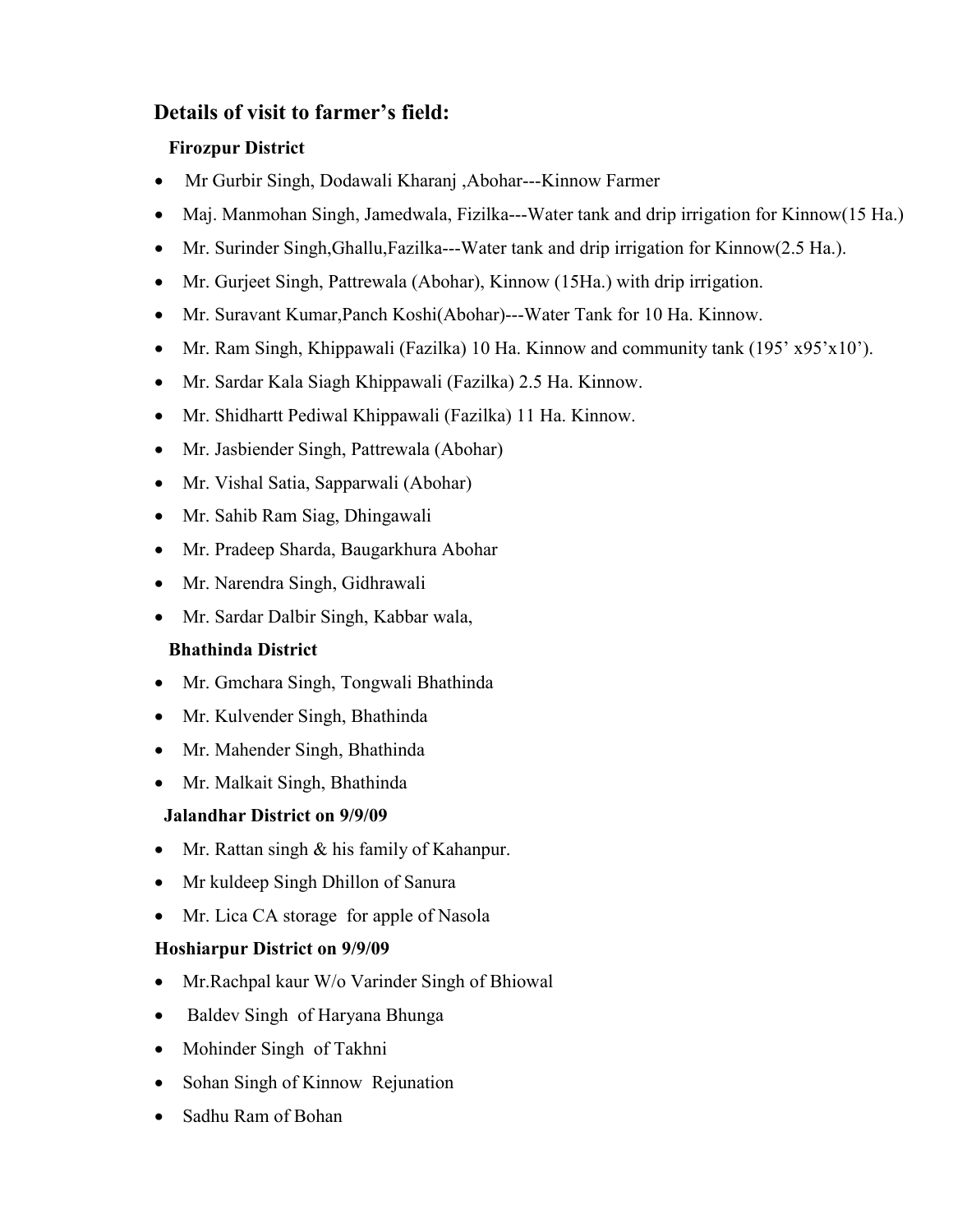# Details of visit to farmer's field:

# Firozpur District

- Mr Gurbir Singh, Dodawali Kharanj ,Abohar---Kinnow Farmer
- Maj. Manmohan Singh, Jamedwala, Fizilka---Water tank and drip irrigation for Kinnow(15 Ha.)
- Mr. Surinder Singh,Ghallu,Fazilka---Water tank and drip irrigation for Kinnow(2.5 Ha.).
- Mr. Gurjeet Singh, Pattrewala (Abohar), Kinnow (15Ha.) with drip irrigation.
- Mr. Suravant Kumar,Panch Koshi(Abohar)---Water Tank for 10 Ha. Kinnow.
- Mr. Ram Singh, Khippawali (Fazilka) 10 Ha. Kinnow and community tank (195' x95'x10').
- Mr. Sardar Kala Siagh Khippawali (Fazilka) 2.5 Ha. Kinnow.
- Mr. Shidhartt Pediwal Khippawali (Fazilka) 11 Ha. Kinnow.
- Mr. Jasbiender Singh, Pattrewala (Abohar)
- Mr. Vishal Satia, Sapparwali (Abohar)
- Mr. Sahib Ram Siag, Dhingawali
- Mr. Pradeep Sharda, Baugarkhura Abohar
- Mr. Narendra Singh, Gidhrawali
- Mr. Sardar Dalbir Singh, Kabbar wala,

# Bhathinda District

- Mr. Gmchara Singh, Tongwali Bhathinda
- Mr. Kulvender Singh, Bhathinda
- Mr. Mahender Singh, Bhathinda
- Mr. Malkait Singh, Bhathinda

# Jalandhar District on 9/9/09

- Mr. Rattan singh & his family of Kahanpur.
- Mr kuldeep Singh Dhillon of Sanura
- Mr. Lica CA storage for apple of Nasola

# Hoshiarpur District on 9/9/09

- Mr.Rachpal kaur W/o Varinder Singh of Bhiowal
- Baldev Singh of Haryana Bhunga
- Mohinder Singh of Takhni
- Sohan Singh of Kinnow Rejunation
- Sadhu Ram of Bohan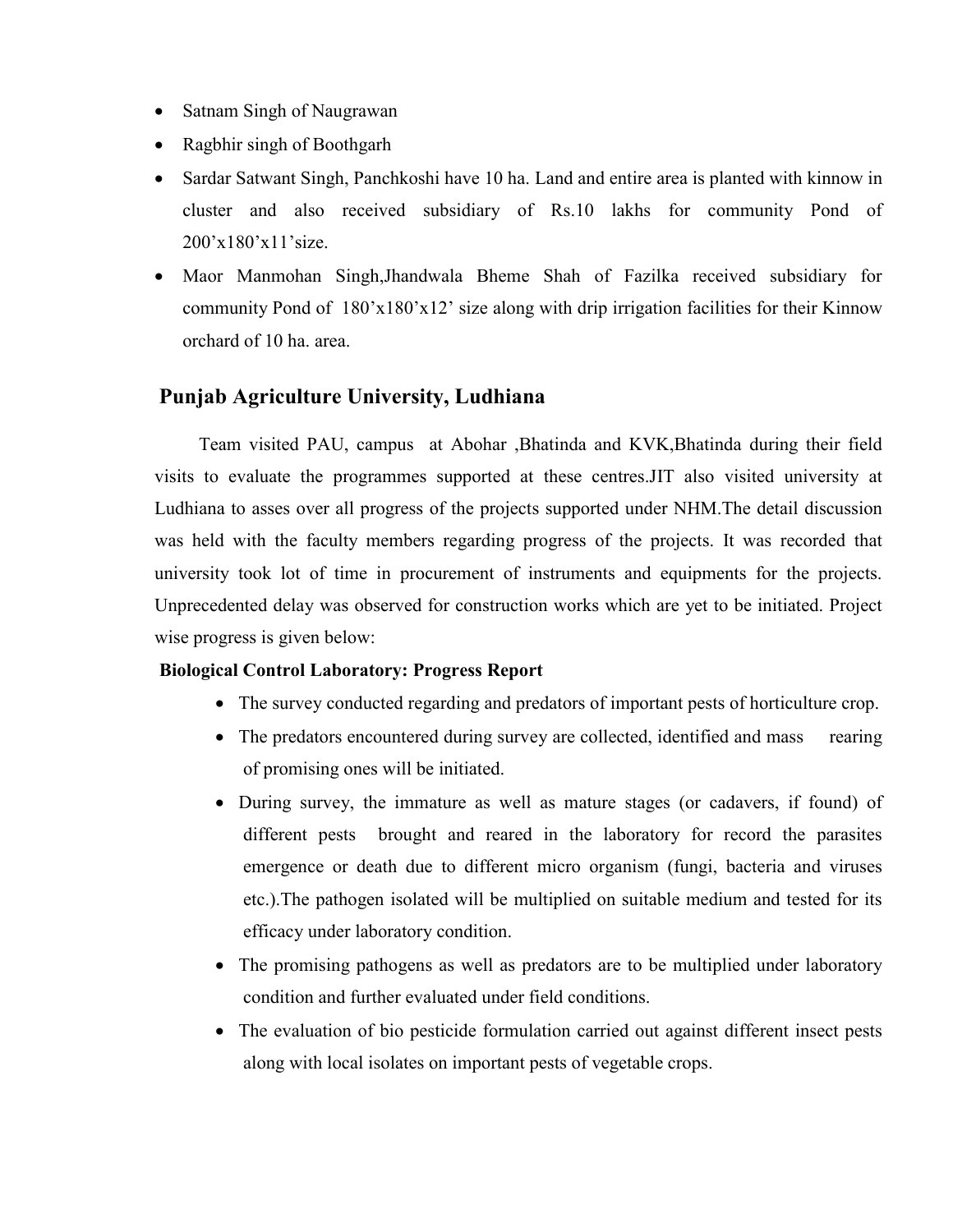- Satnam Singh of Naugrawan
- Ragbhir singh of Boothgarh
- Sardar Satwant Singh, Panchkoshi have 10 ha. Land and entire area is planted with kinnow in cluster and also received subsidiary of Rs.10 lakhs for community Pond of 200'x180'x11'size.
- Maor Manmohan Singh,Jhandwala Bheme Shah of Fazilka received subsidiary for community Pond of 180'x180'x12' size along with drip irrigation facilities for their Kinnow orchard of 10 ha. area.

# Punjab Agriculture University, Ludhiana

 Team visited PAU, campus at Abohar ,Bhatinda and KVK,Bhatinda during their field visits to evaluate the programmes supported at these centres.JIT also visited university at Ludhiana to asses over all progress of the projects supported under NHM.The detail discussion was held with the faculty members regarding progress of the projects. It was recorded that university took lot of time in procurement of instruments and equipments for the projects. Unprecedented delay was observed for construction works which are yet to be initiated. Project wise progress is given below:

#### Biological Control Laboratory: Progress Report

- The survey conducted regarding and predators of important pests of horticulture crop.
- The predators encountered during survey are collected, identified and mass rearing of promising ones will be initiated.
- During survey, the immature as well as mature stages (or cadavers, if found) of different pests brought and reared in the laboratory for record the parasites emergence or death due to different micro organism (fungi, bacteria and viruses etc.).The pathogen isolated will be multiplied on suitable medium and tested for its efficacy under laboratory condition.
- The promising pathogens as well as predators are to be multiplied under laboratory condition and further evaluated under field conditions.
- The evaluation of bio pesticide formulation carried out against different insect pests along with local isolates on important pests of vegetable crops.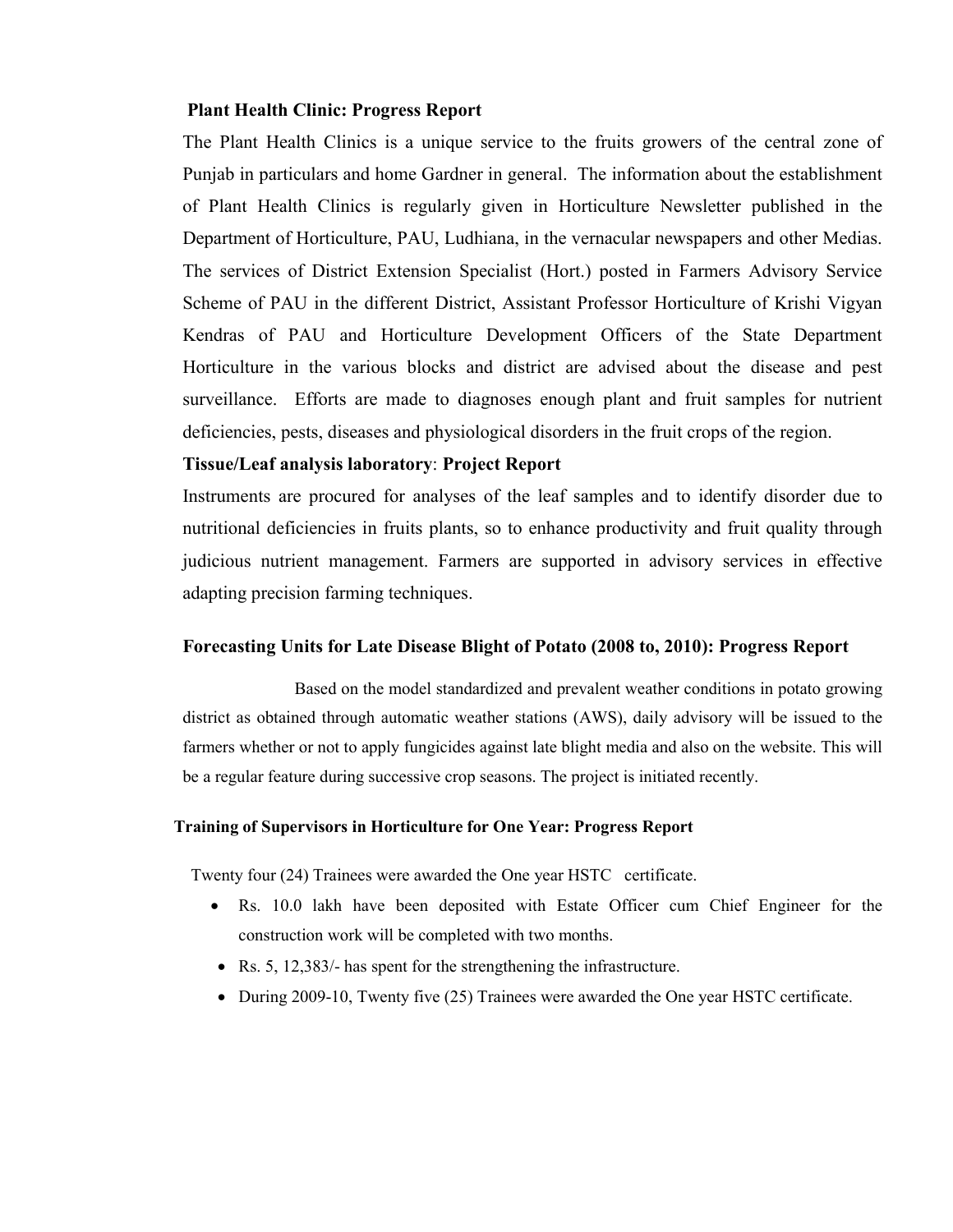#### Plant Health Clinic: Progress Report

The Plant Health Clinics is a unique service to the fruits growers of the central zone of Punjab in particulars and home Gardner in general. The information about the establishment of Plant Health Clinics is regularly given in Horticulture Newsletter published in the Department of Horticulture, PAU, Ludhiana, in the vernacular newspapers and other Medias. The services of District Extension Specialist (Hort.) posted in Farmers Advisory Service Scheme of PAU in the different District, Assistant Professor Horticulture of Krishi Vigyan Kendras of PAU and Horticulture Development Officers of the State Department Horticulture in the various blocks and district are advised about the disease and pest surveillance. Efforts are made to diagnoses enough plant and fruit samples for nutrient deficiencies, pests, diseases and physiological disorders in the fruit crops of the region.

#### Tissue/Leaf analysis laboratory: Project Report

Instruments are procured for analyses of the leaf samples and to identify disorder due to nutritional deficiencies in fruits plants, so to enhance productivity and fruit quality through judicious nutrient management. Farmers are supported in advisory services in effective adapting precision farming techniques.

#### Forecasting Units for Late Disease Blight of Potato (2008 to, 2010): Progress Report

 Based on the model standardized and prevalent weather conditions in potato growing district as obtained through automatic weather stations (AWS), daily advisory will be issued to the farmers whether or not to apply fungicides against late blight media and also on the website. This will be a regular feature during successive crop seasons. The project is initiated recently.

#### Training of Supervisors in Horticulture for One Year: Progress Report

Twenty four (24) Trainees were awarded the One year HSTC certificate.

- Rs. 10.0 lakh have been deposited with Estate Officer cum Chief Engineer for the construction work will be completed with two months.
- Rs. 5, 12,383/- has spent for the strengthening the infrastructure.
- During 2009-10, Twenty five (25) Trainees were awarded the One year HSTC certificate.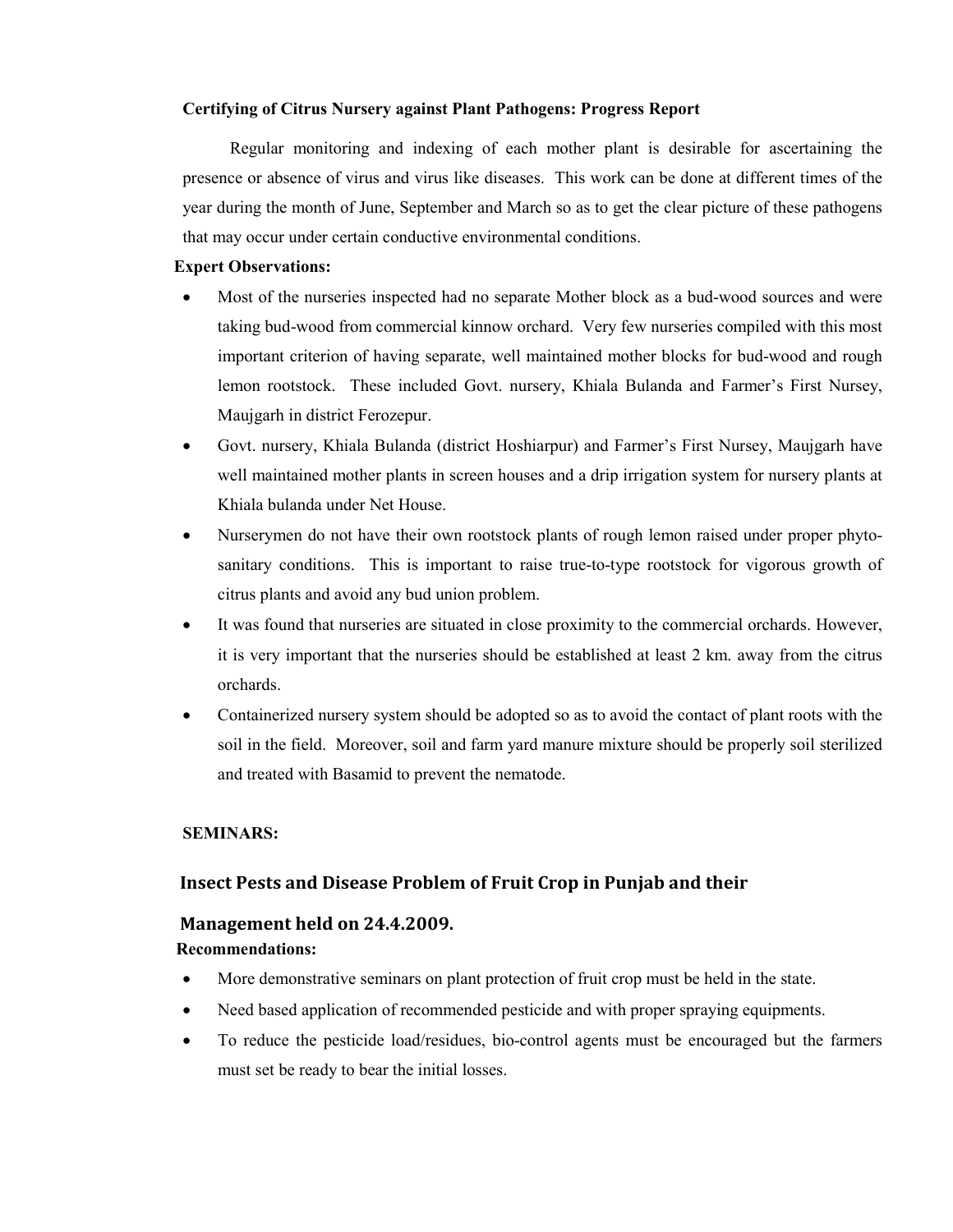#### Certifying of Citrus Nursery against Plant Pathogens: Progress Report

 Regular monitoring and indexing of each mother plant is desirable for ascertaining the presence or absence of virus and virus like diseases. This work can be done at different times of the year during the month of June, September and March so as to get the clear picture of these pathogens that may occur under certain conductive environmental conditions.

#### Expert Observations:

- Most of the nurseries inspected had no separate Mother block as a bud-wood sources and were taking bud-wood from commercial kinnow orchard. Very few nurseries compiled with this most important criterion of having separate, well maintained mother blocks for bud-wood and rough lemon rootstock. These included Govt. nursery, Khiala Bulanda and Farmer's First Nursey, Maujgarh in district Ferozepur.
- Govt. nursery, Khiala Bulanda (district Hoshiarpur) and Farmer's First Nursey, Maujgarh have well maintained mother plants in screen houses and a drip irrigation system for nursery plants at Khiala bulanda under Net House.
- Nurserymen do not have their own rootstock plants of rough lemon raised under proper phytosanitary conditions. This is important to raise true-to-type rootstock for vigorous growth of citrus plants and avoid any bud union problem.
- It was found that nurseries are situated in close proximity to the commercial orchards. However, it is very important that the nurseries should be established at least 2 km. away from the citrus orchards.
- Containerized nursery system should be adopted so as to avoid the contact of plant roots with the soil in the field. Moreover, soil and farm yard manure mixture should be properly soil sterilized and treated with Basamid to prevent the nematode.

#### SEMINARS:

#### Insect Pests and Disease Problem of Fruit Crop in Punjab and their

#### Management held on 24.4.2009.

#### Recommendations:

- More demonstrative seminars on plant protection of fruit crop must be held in the state.
- Need based application of recommended pesticide and with proper spraying equipments.
- To reduce the pesticide load/residues, bio-control agents must be encouraged but the farmers must set be ready to bear the initial losses.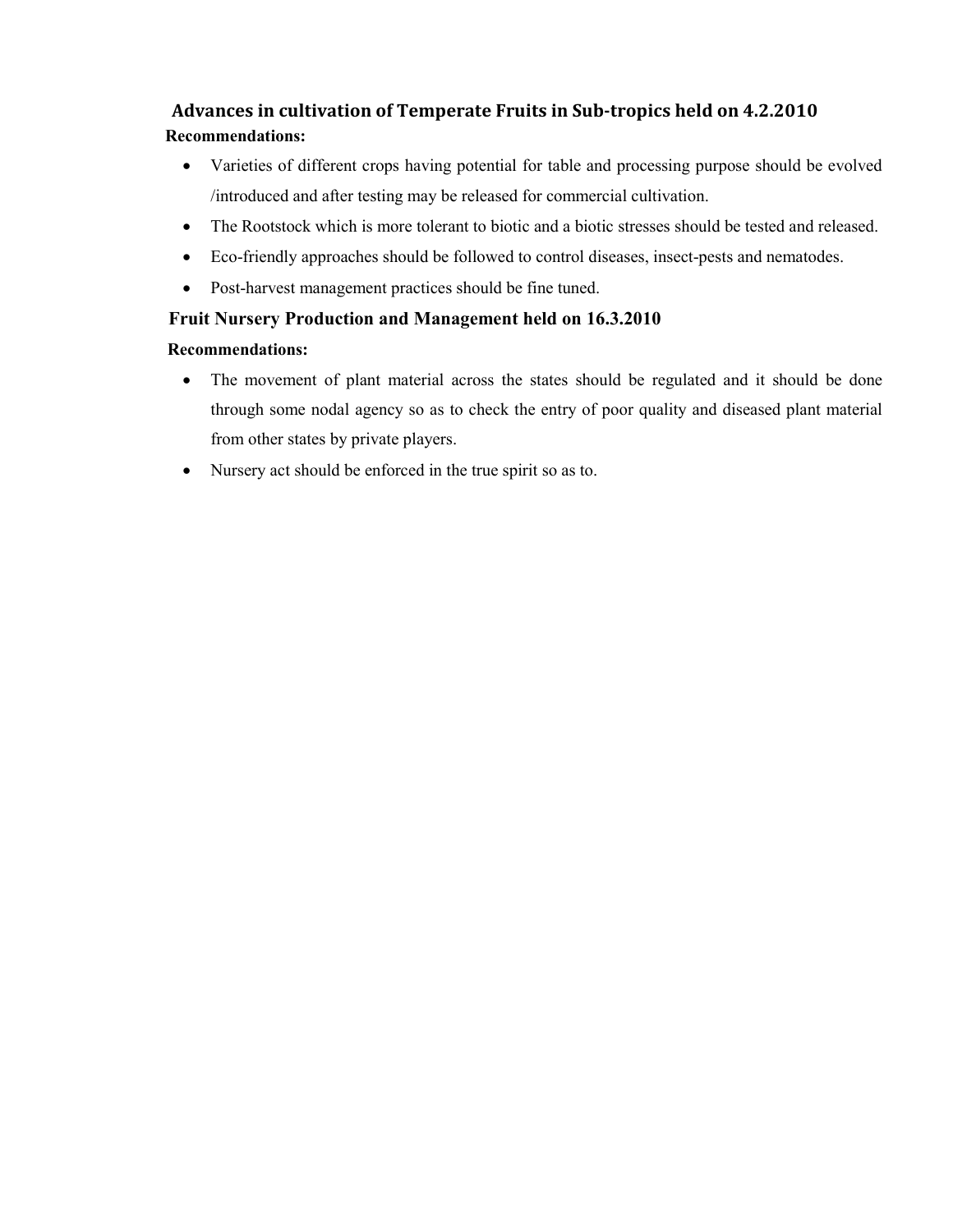# Advances in cultivation of Temperate Fruits in Sub-tropics held on 4.2.2010 Recommendations:

- Varieties of different crops having potential for table and processing purpose should be evolved /introduced and after testing may be released for commercial cultivation.
- The Rootstock which is more tolerant to biotic and a biotic stresses should be tested and released.
- Eco-friendly approaches should be followed to control diseases, insect-pests and nematodes.
- Post-harvest management practices should be fine tuned.

# Fruit Nursery Production and Management held on 16.3.2010

## Recommendations:

- The movement of plant material across the states should be regulated and it should be done through some nodal agency so as to check the entry of poor quality and diseased plant material from other states by private players.
- Nursery act should be enforced in the true spirit so as to.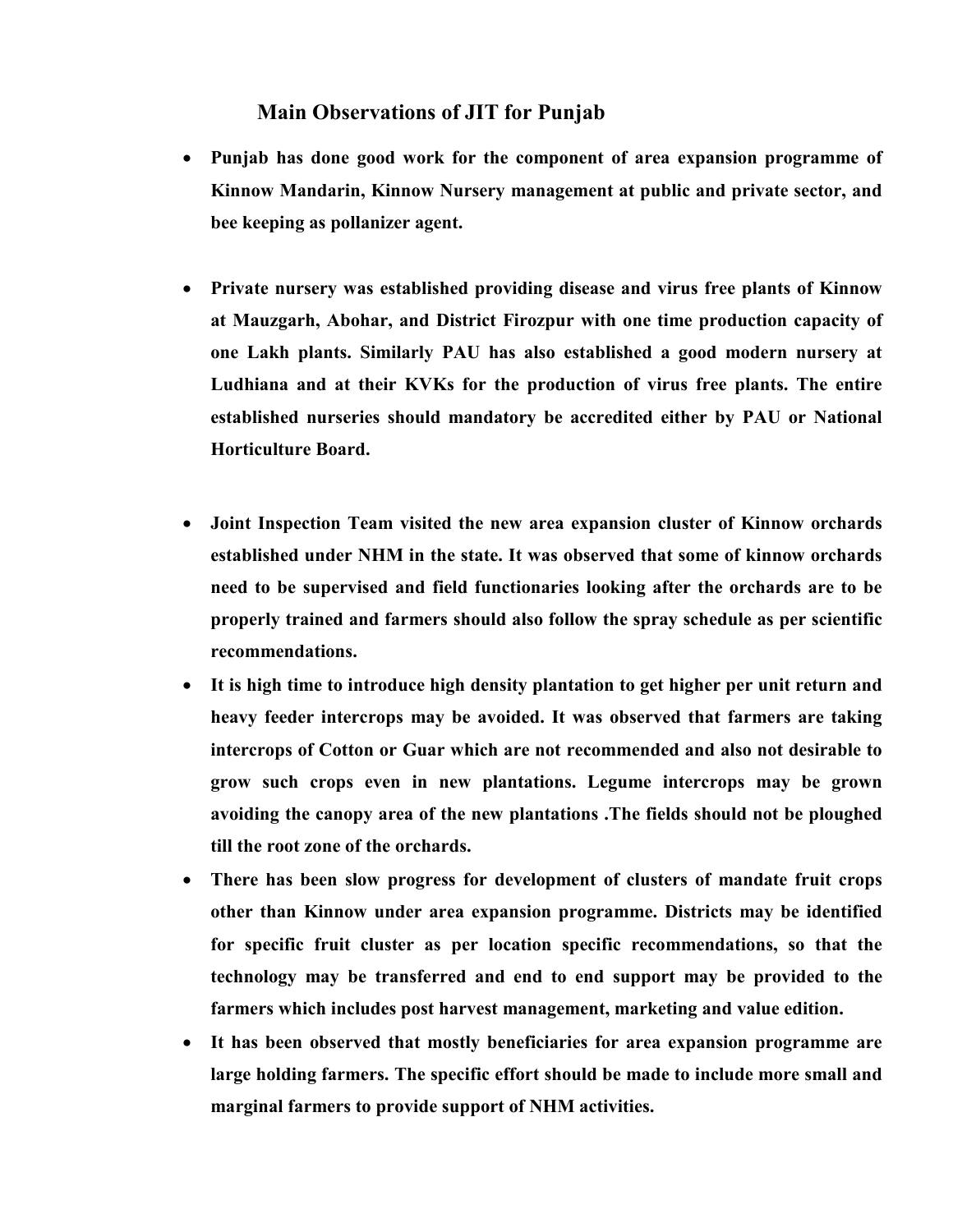# Main Observations of JIT for Punjab

- Punjab has done good work for the component of area expansion programme of Kinnow Mandarin, Kinnow Nursery management at public and private sector, and bee keeping as pollanizer agent.
- Private nursery was established providing disease and virus free plants of Kinnow at Mauzgarh, Abohar, and District Firozpur with one time production capacity of one Lakh plants. Similarly PAU has also established a good modern nursery at Ludhiana and at their KVKs for the production of virus free plants. The entire established nurseries should mandatory be accredited either by PAU or National Horticulture Board.
- Joint Inspection Team visited the new area expansion cluster of Kinnow orchards established under NHM in the state. It was observed that some of kinnow orchards need to be supervised and field functionaries looking after the orchards are to be properly trained and farmers should also follow the spray schedule as per scientific recommendations.
- It is high time to introduce high density plantation to get higher per unit return and heavy feeder intercrops may be avoided. It was observed that farmers are taking intercrops of Cotton or Guar which are not recommended and also not desirable to grow such crops even in new plantations. Legume intercrops may be grown avoiding the canopy area of the new plantations .The fields should not be ploughed till the root zone of the orchards.
- There has been slow progress for development of clusters of mandate fruit crops other than Kinnow under area expansion programme. Districts may be identified for specific fruit cluster as per location specific recommendations, so that the technology may be transferred and end to end support may be provided to the farmers which includes post harvest management, marketing and value edition.
- It has been observed that mostly beneficiaries for area expansion programme are large holding farmers. The specific effort should be made to include more small and marginal farmers to provide support of NHM activities.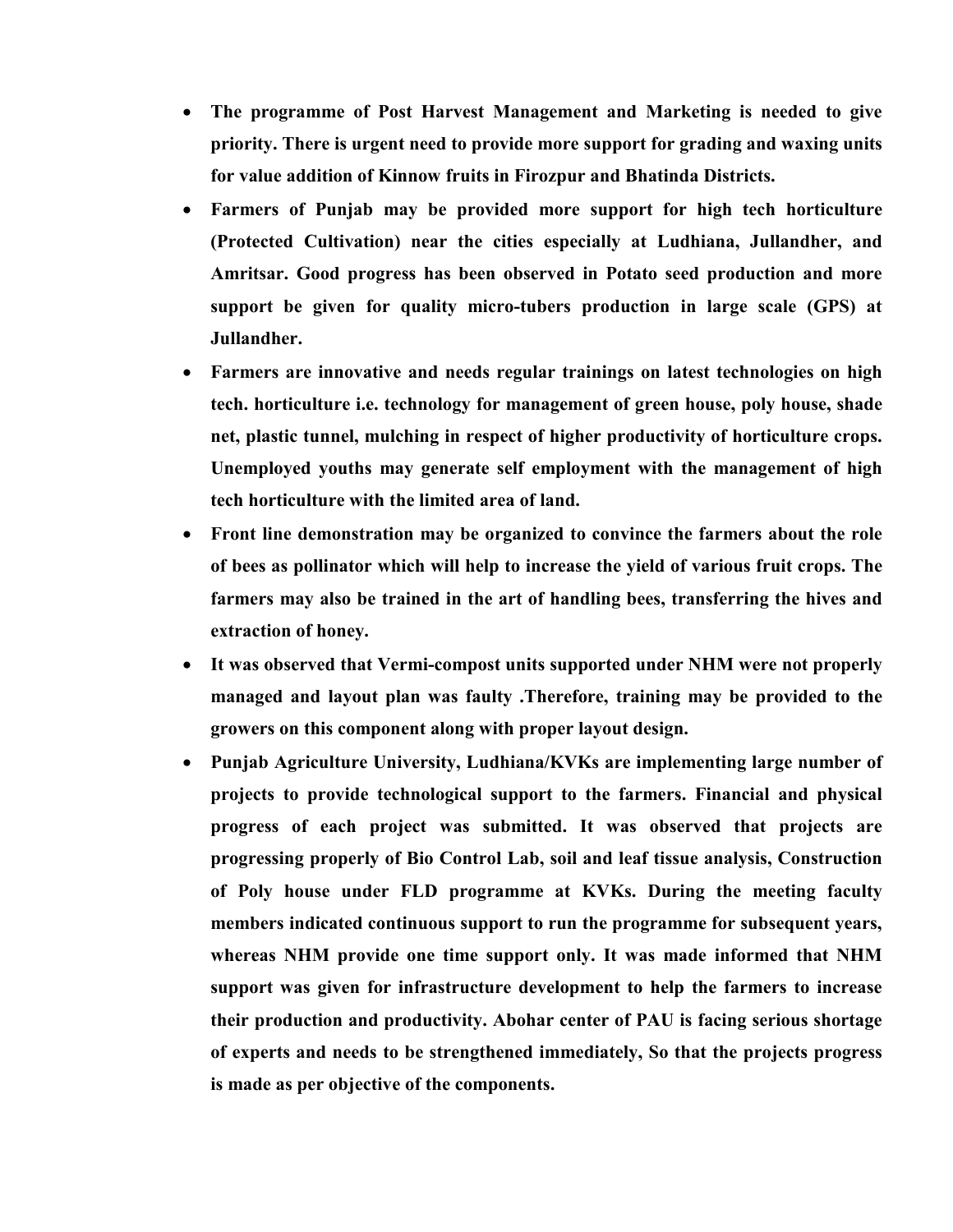- The programme of Post Harvest Management and Marketing is needed to give priority. There is urgent need to provide more support for grading and waxing units for value addition of Kinnow fruits in Firozpur and Bhatinda Districts.
- Farmers of Punjab may be provided more support for high tech horticulture (Protected Cultivation) near the cities especially at Ludhiana, Jullandher, and Amritsar. Good progress has been observed in Potato seed production and more support be given for quality micro-tubers production in large scale (GPS) at Jullandher.
- Farmers are innovative and needs regular trainings on latest technologies on high tech. horticulture i.e. technology for management of green house, poly house, shade net, plastic tunnel, mulching in respect of higher productivity of horticulture crops. Unemployed youths may generate self employment with the management of high tech horticulture with the limited area of land.
- Front line demonstration may be organized to convince the farmers about the role of bees as pollinator which will help to increase the yield of various fruit crops. The farmers may also be trained in the art of handling bees, transferring the hives and extraction of honey.
- It was observed that Vermi-compost units supported under NHM were not properly managed and layout plan was faulty .Therefore, training may be provided to the growers on this component along with proper layout design.
- Punjab Agriculture University, Ludhiana/KVKs are implementing large number of projects to provide technological support to the farmers. Financial and physical progress of each project was submitted. It was observed that projects are progressing properly of Bio Control Lab, soil and leaf tissue analysis, Construction of Poly house under FLD programme at KVKs. During the meeting faculty members indicated continuous support to run the programme for subsequent years, whereas NHM provide one time support only. It was made informed that NHM support was given for infrastructure development to help the farmers to increase their production and productivity. Abohar center of PAU is facing serious shortage of experts and needs to be strengthened immediately, So that the projects progress is made as per objective of the components.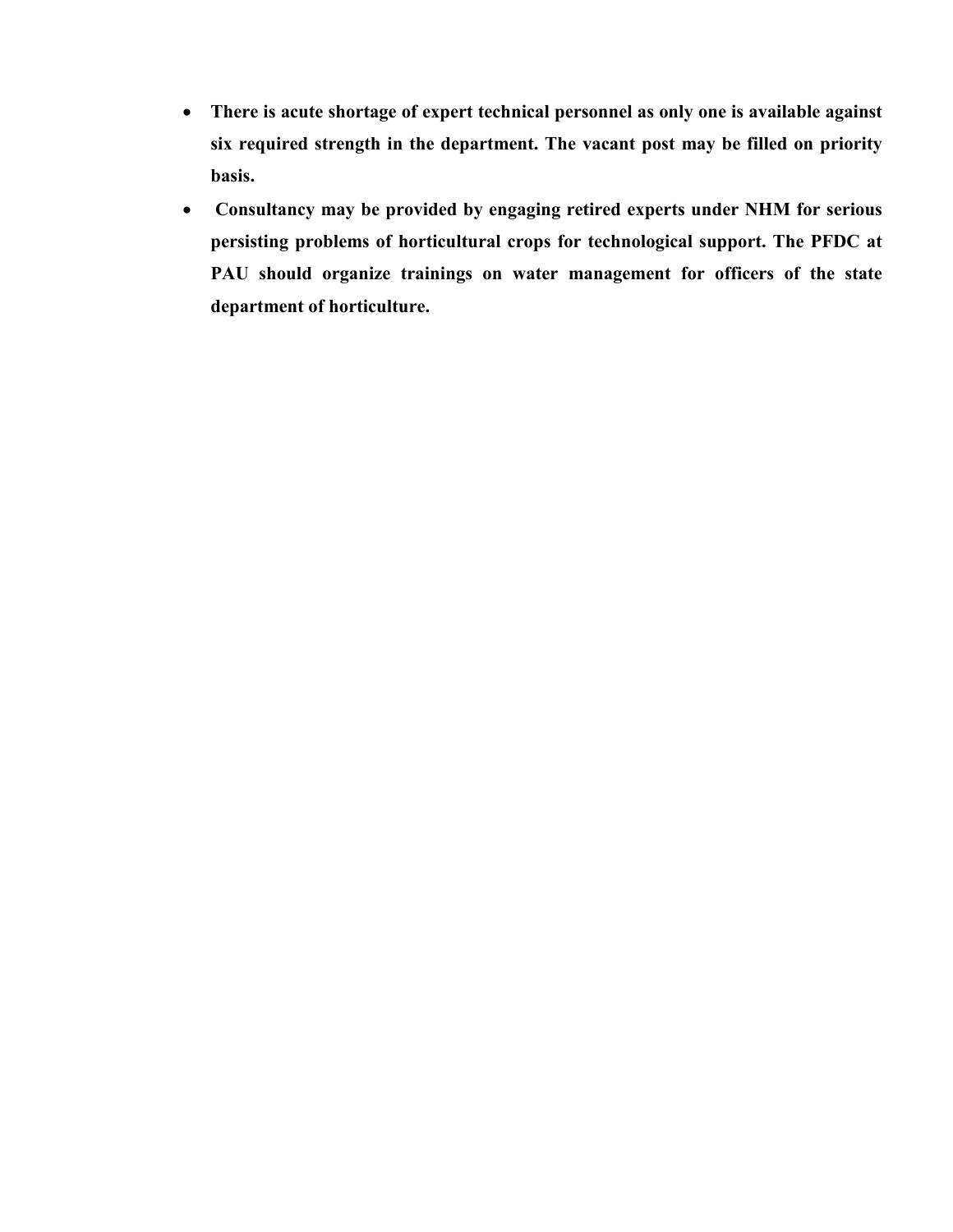- There is acute shortage of expert technical personnel as only one is available against six required strength in the department. The vacant post may be filled on priority basis.
- Consultancy may be provided by engaging retired experts under NHM for serious persisting problems of horticultural crops for technological support. The PFDC at PAU should organize trainings on water management for officers of the state department of horticulture.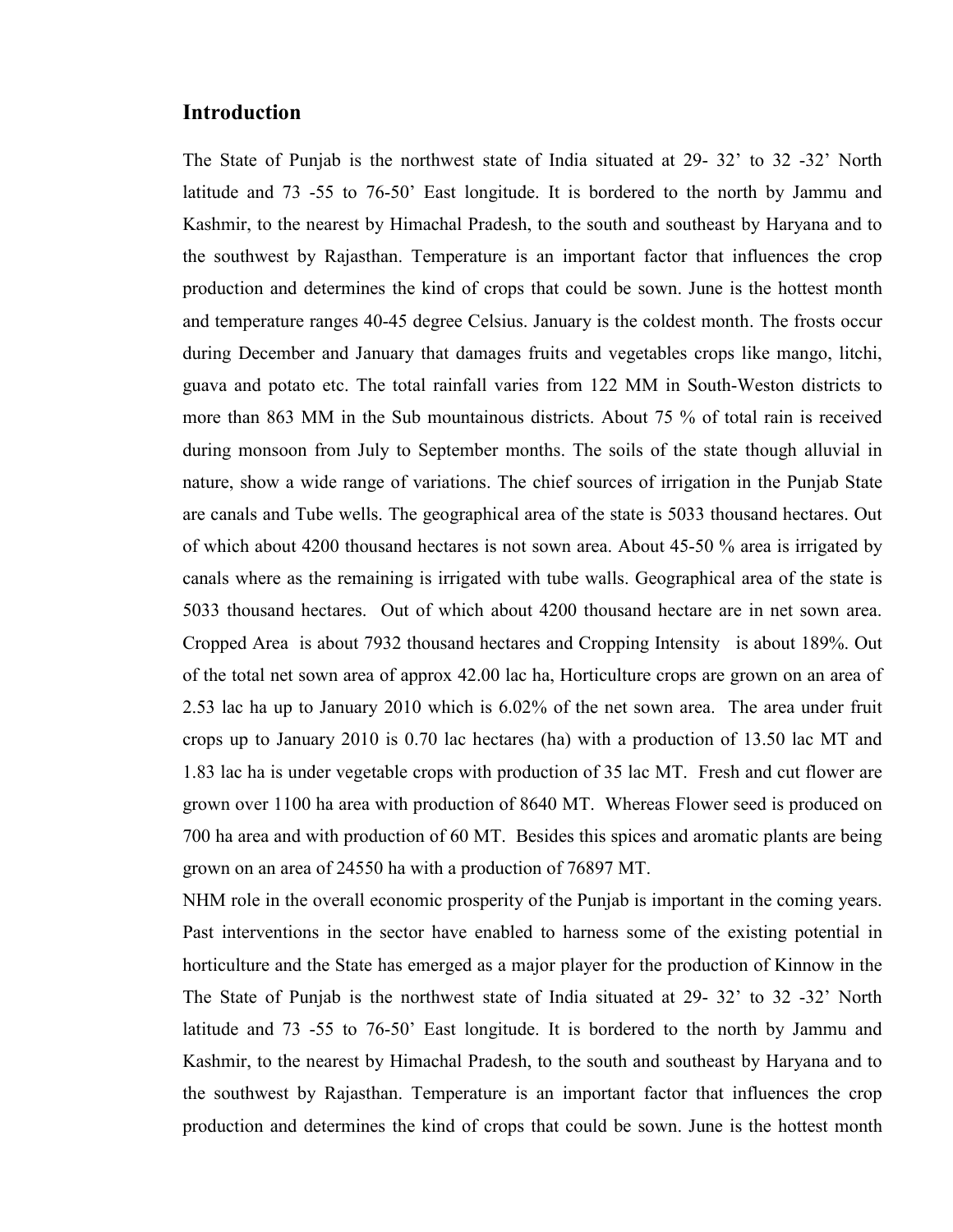## Introduction

The State of Punjab is the northwest state of India situated at 29- 32' to 32 -32' North latitude and 73 -55 to 76-50' East longitude. It is bordered to the north by Jammu and Kashmir, to the nearest by Himachal Pradesh, to the south and southeast by Haryana and to the southwest by Rajasthan. Temperature is an important factor that influences the crop production and determines the kind of crops that could be sown. June is the hottest month and temperature ranges 40-45 degree Celsius. January is the coldest month. The frosts occur during December and January that damages fruits and vegetables crops like mango, litchi, guava and potato etc. The total rainfall varies from 122 MM in South-Weston districts to more than 863 MM in the Sub mountainous districts. About 75 % of total rain is received during monsoon from July to September months. The soils of the state though alluvial in nature, show a wide range of variations. The chief sources of irrigation in the Punjab State are canals and Tube wells. The geographical area of the state is 5033 thousand hectares. Out of which about 4200 thousand hectares is not sown area. About 45-50 % area is irrigated by canals where as the remaining is irrigated with tube walls. Geographical area of the state is 5033 thousand hectares. Out of which about 4200 thousand hectare are in net sown area. Cropped Area is about 7932 thousand hectares and Cropping Intensity is about 189%. Out of the total net sown area of approx 42.00 lac ha, Horticulture crops are grown on an area of 2.53 lac ha up to January 2010 which is 6.02% of the net sown area. The area under fruit crops up to January 2010 is 0.70 lac hectares (ha) with a production of 13.50 lac MT and 1.83 lac ha is under vegetable crops with production of 35 lac MT. Fresh and cut flower are grown over 1100 ha area with production of 8640 MT. Whereas Flower seed is produced on 700 ha area and with production of 60 MT. Besides this spices and aromatic plants are being grown on an area of 24550 ha with a production of 76897 MT.

NHM role in the overall economic prosperity of the Punjab is important in the coming years. Past interventions in the sector have enabled to harness some of the existing potential in horticulture and the State has emerged as a major player for the production of Kinnow in the The State of Punjab is the northwest state of India situated at 29- 32' to 32 -32' North latitude and 73 -55 to 76-50' East longitude. It is bordered to the north by Jammu and Kashmir, to the nearest by Himachal Pradesh, to the south and southeast by Haryana and to the southwest by Rajasthan. Temperature is an important factor that influences the crop production and determines the kind of crops that could be sown. June is the hottest month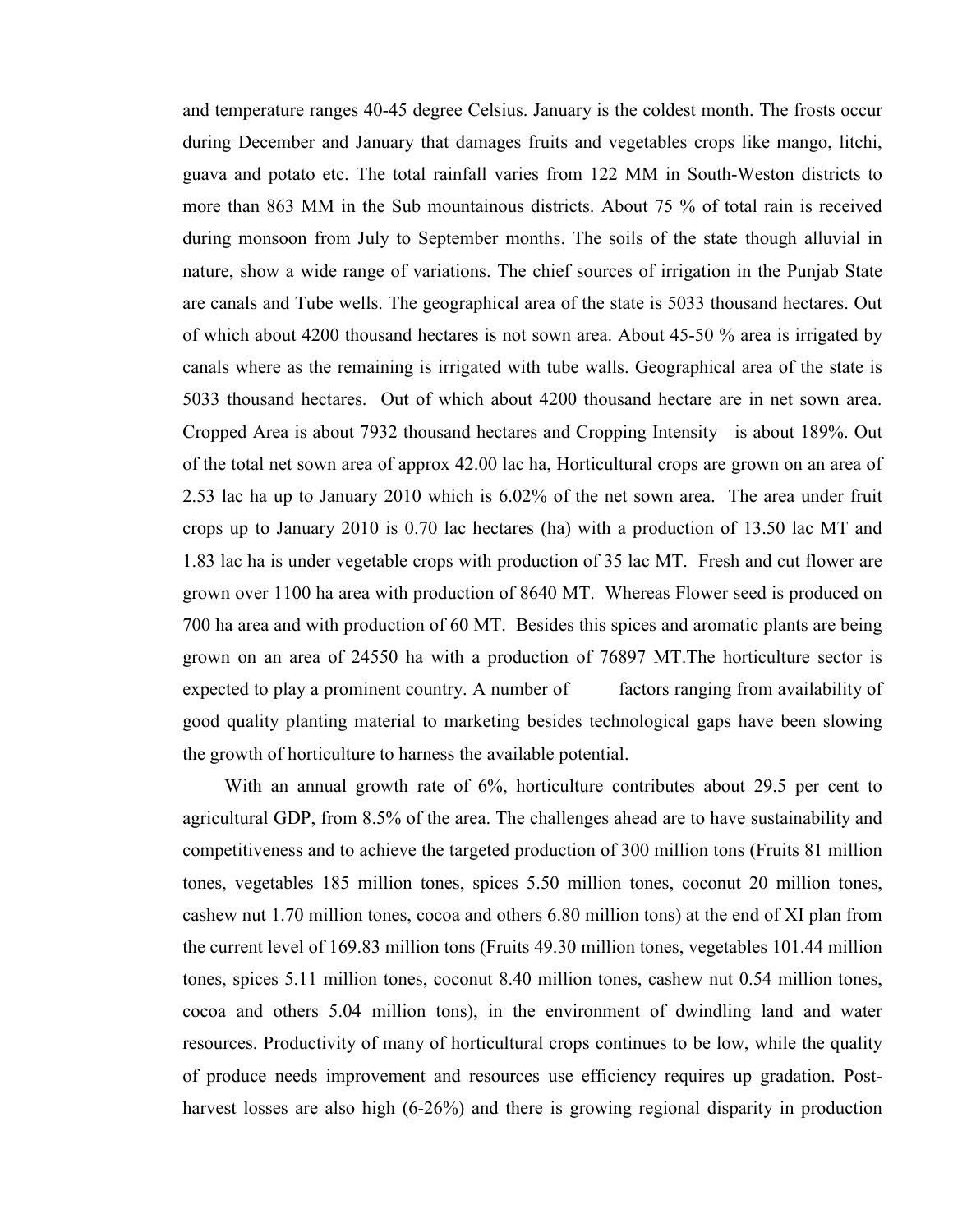and temperature ranges 40-45 degree Celsius. January is the coldest month. The frosts occur during December and January that damages fruits and vegetables crops like mango, litchi, guava and potato etc. The total rainfall varies from 122 MM in South-Weston districts to more than 863 MM in the Sub mountainous districts. About 75 % of total rain is received during monsoon from July to September months. The soils of the state though alluvial in nature, show a wide range of variations. The chief sources of irrigation in the Punjab State are canals and Tube wells. The geographical area of the state is 5033 thousand hectares. Out of which about 4200 thousand hectares is not sown area. About 45-50 % area is irrigated by canals where as the remaining is irrigated with tube walls. Geographical area of the state is 5033 thousand hectares. Out of which about 4200 thousand hectare are in net sown area. Cropped Area is about 7932 thousand hectares and Cropping Intensity is about 189%. Out of the total net sown area of approx 42.00 lac ha, Horticultural crops are grown on an area of 2.53 lac ha up to January 2010 which is 6.02% of the net sown area. The area under fruit crops up to January 2010 is 0.70 lac hectares (ha) with a production of 13.50 lac MT and 1.83 lac ha is under vegetable crops with production of 35 lac MT. Fresh and cut flower are grown over 1100 ha area with production of 8640 MT. Whereas Flower seed is produced on 700 ha area and with production of 60 MT. Besides this spices and aromatic plants are being grown on an area of 24550 ha with a production of 76897 MT.The horticulture sector is expected to play a prominent country. A number of factors ranging from availability of good quality planting material to marketing besides technological gaps have been slowing the growth of horticulture to harness the available potential.

With an annual growth rate of 6%, horticulture contributes about 29.5 per cent to agricultural GDP, from 8.5% of the area. The challenges ahead are to have sustainability and competitiveness and to achieve the targeted production of 300 million tons (Fruits 81 million tones, vegetables 185 million tones, spices 5.50 million tones, coconut 20 million tones, cashew nut 1.70 million tones, cocoa and others 6.80 million tons) at the end of XI plan from the current level of 169.83 million tons (Fruits 49.30 million tones, vegetables 101.44 million tones, spices 5.11 million tones, coconut 8.40 million tones, cashew nut 0.54 million tones, cocoa and others 5.04 million tons), in the environment of dwindling land and water resources. Productivity of many of horticultural crops continues to be low, while the quality of produce needs improvement and resources use efficiency requires up gradation. Postharvest losses are also high (6-26%) and there is growing regional disparity in production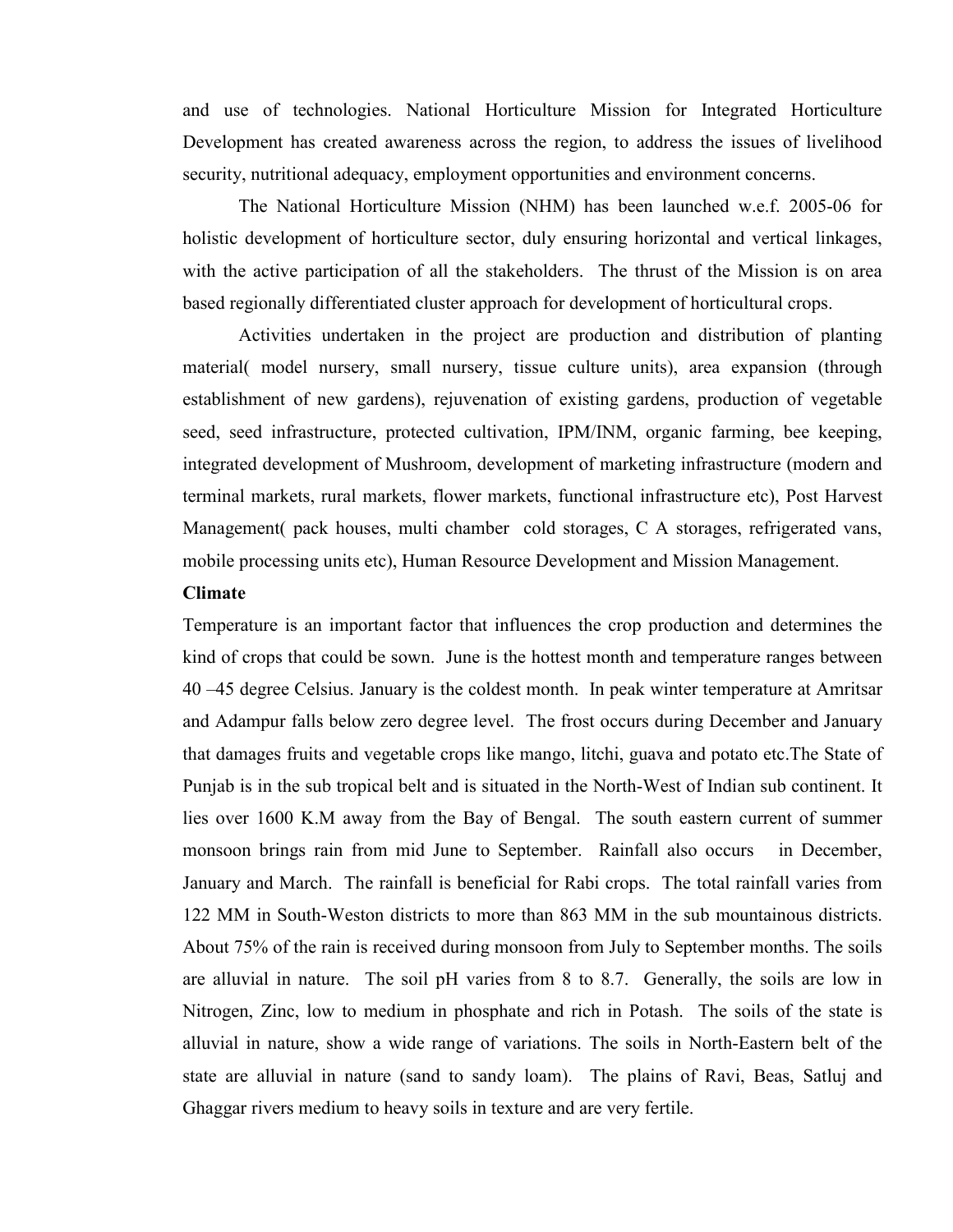and use of technologies. National Horticulture Mission for Integrated Horticulture Development has created awareness across the region, to address the issues of livelihood security, nutritional adequacy, employment opportunities and environment concerns.

The National Horticulture Mission (NHM) has been launched w.e.f. 2005-06 for holistic development of horticulture sector, duly ensuring horizontal and vertical linkages, with the active participation of all the stakeholders. The thrust of the Mission is on area based regionally differentiated cluster approach for development of horticultural crops.

Activities undertaken in the project are production and distribution of planting material( model nursery, small nursery, tissue culture units), area expansion (through establishment of new gardens), rejuvenation of existing gardens, production of vegetable seed, seed infrastructure, protected cultivation, IPM/INM, organic farming, bee keeping, integrated development of Mushroom, development of marketing infrastructure (modern and terminal markets, rural markets, flower markets, functional infrastructure etc), Post Harvest Management( pack houses, multi chamber cold storages, C A storages, refrigerated vans, mobile processing units etc), Human Resource Development and Mission Management.

#### Climate

Temperature is an important factor that influences the crop production and determines the kind of crops that could be sown. June is the hottest month and temperature ranges between 40 –45 degree Celsius. January is the coldest month. In peak winter temperature at Amritsar and Adampur falls below zero degree level. The frost occurs during December and January that damages fruits and vegetable crops like mango, litchi, guava and potato etc.The State of Punjab is in the sub tropical belt and is situated in the North-West of Indian sub continent. It lies over 1600 K.M away from the Bay of Bengal. The south eastern current of summer monsoon brings rain from mid June to September. Rainfall also occurs in December, January and March. The rainfall is beneficial for Rabi crops. The total rainfall varies from 122 MM in South-Weston districts to more than 863 MM in the sub mountainous districts. About 75% of the rain is received during monsoon from July to September months. The soils are alluvial in nature. The soil pH varies from 8 to 8.7. Generally, the soils are low in Nitrogen, Zinc, low to medium in phosphate and rich in Potash. The soils of the state is alluvial in nature, show a wide range of variations. The soils in North-Eastern belt of the state are alluvial in nature (sand to sandy loam). The plains of Ravi, Beas, Satluj and Ghaggar rivers medium to heavy soils in texture and are very fertile.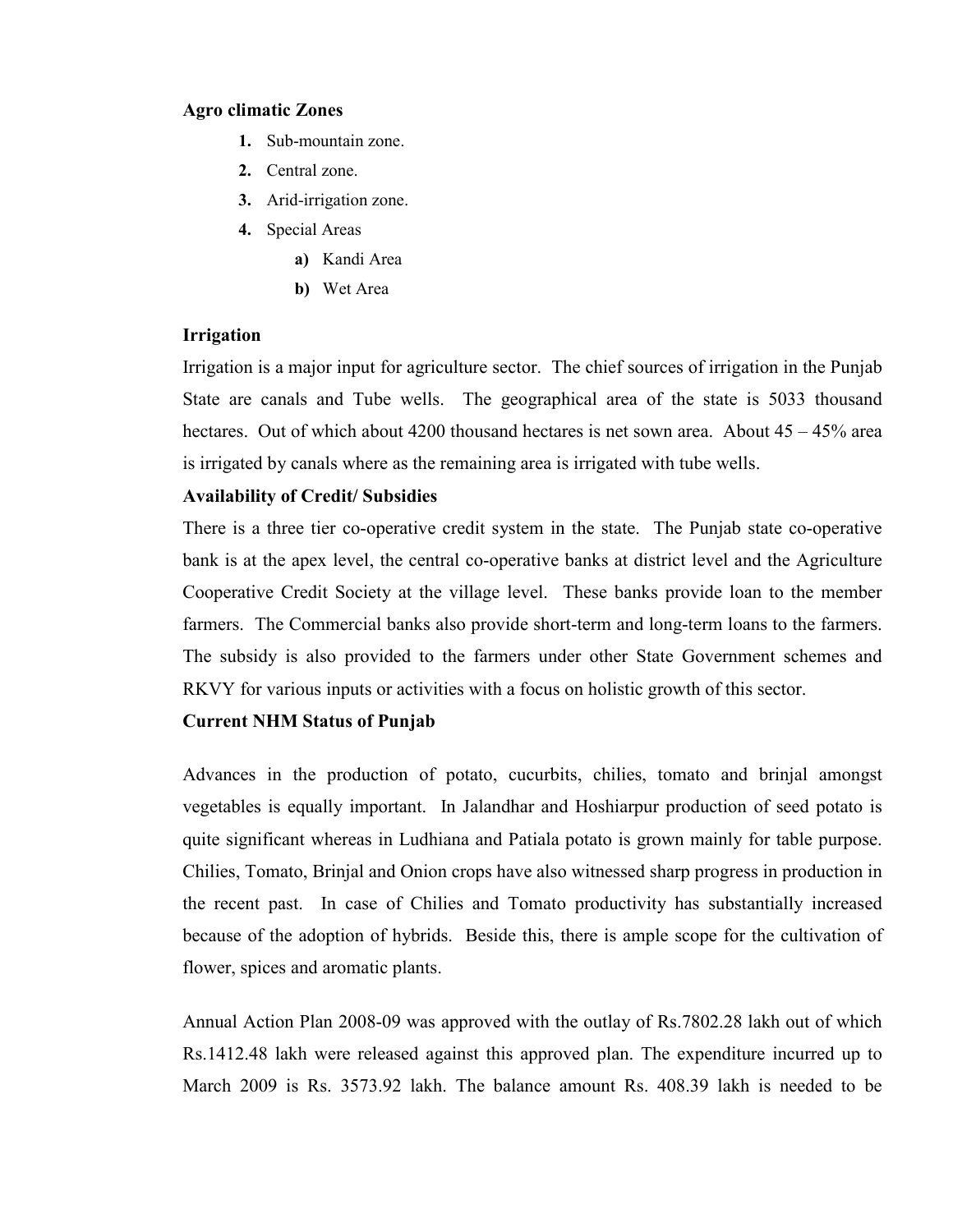#### Agro climatic Zones

- 1. Sub-mountain zone.
- 2. Central zone.
- 3. Arid-irrigation zone.
- 4. Special Areas
	- a) Kandi Area
	- b) Wet Area

#### Irrigation

Irrigation is a major input for agriculture sector. The chief sources of irrigation in the Punjab State are canals and Tube wells. The geographical area of the state is 5033 thousand hectares. Out of which about 4200 thousand hectares is net sown area. About  $45 - 45\%$  area is irrigated by canals where as the remaining area is irrigated with tube wells.

#### Availability of Credit/ Subsidies

There is a three tier co-operative credit system in the state. The Punjab state co-operative bank is at the apex level, the central co-operative banks at district level and the Agriculture Cooperative Credit Society at the village level. These banks provide loan to the member farmers. The Commercial banks also provide short-term and long-term loans to the farmers. The subsidy is also provided to the farmers under other State Government schemes and RKVY for various inputs or activities with a focus on holistic growth of this sector.

#### Current NHM Status of Punjab

Advances in the production of potato, cucurbits, chilies, tomato and brinjal amongst vegetables is equally important. In Jalandhar and Hoshiarpur production of seed potato is quite significant whereas in Ludhiana and Patiala potato is grown mainly for table purpose. Chilies, Tomato, Brinjal and Onion crops have also witnessed sharp progress in production in the recent past. In case of Chilies and Tomato productivity has substantially increased because of the adoption of hybrids. Beside this, there is ample scope for the cultivation of flower, spices and aromatic plants.

Annual Action Plan 2008-09 was approved with the outlay of Rs.7802.28 lakh out of which Rs.1412.48 lakh were released against this approved plan. The expenditure incurred up to March 2009 is Rs. 3573.92 lakh. The balance amount Rs. 408.39 lakh is needed to be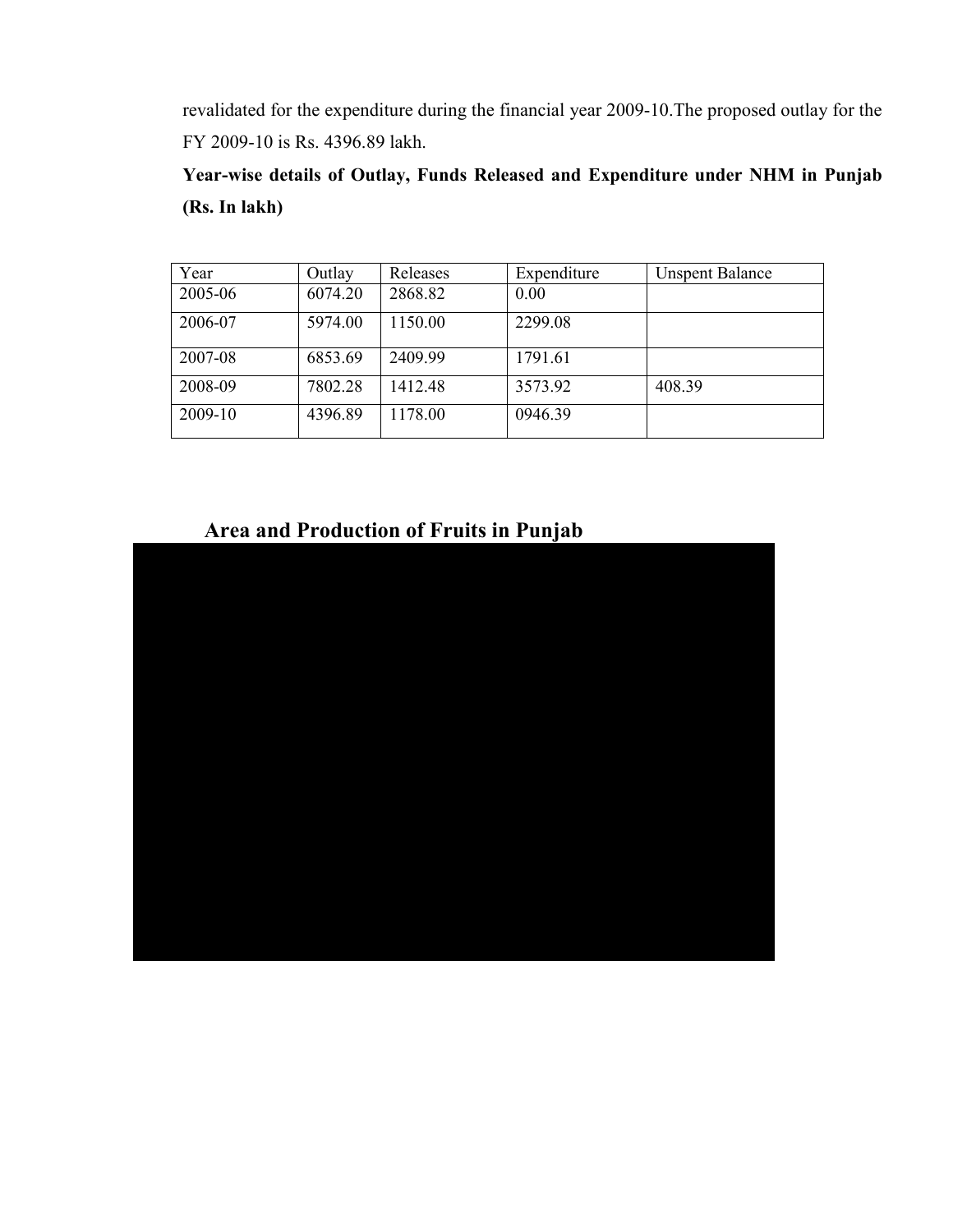revalidated for the expenditure during the financial year 2009-10.The proposed outlay for the FY 2009-10 is Rs. 4396.89 lakh.

Year-wise details of Outlay, Funds Released and Expenditure under NHM in Punjab (Rs. In lakh)

| Year    | Outlay  | Releases | Expenditure | <b>Unspent Balance</b> |
|---------|---------|----------|-------------|------------------------|
| 2005-06 | 6074.20 | 2868.82  | 0.00        |                        |
| 2006-07 | 5974.00 | 1150.00  | 2299.08     |                        |
| 2007-08 | 6853.69 | 2409.99  | 1791.61     |                        |
| 2008-09 | 7802.28 | 1412.48  | 3573.92     | 408.39                 |
| 2009-10 | 4396.89 | 1178.00  | 0946.39     |                        |

# Area and Production of Fruits in Punjab

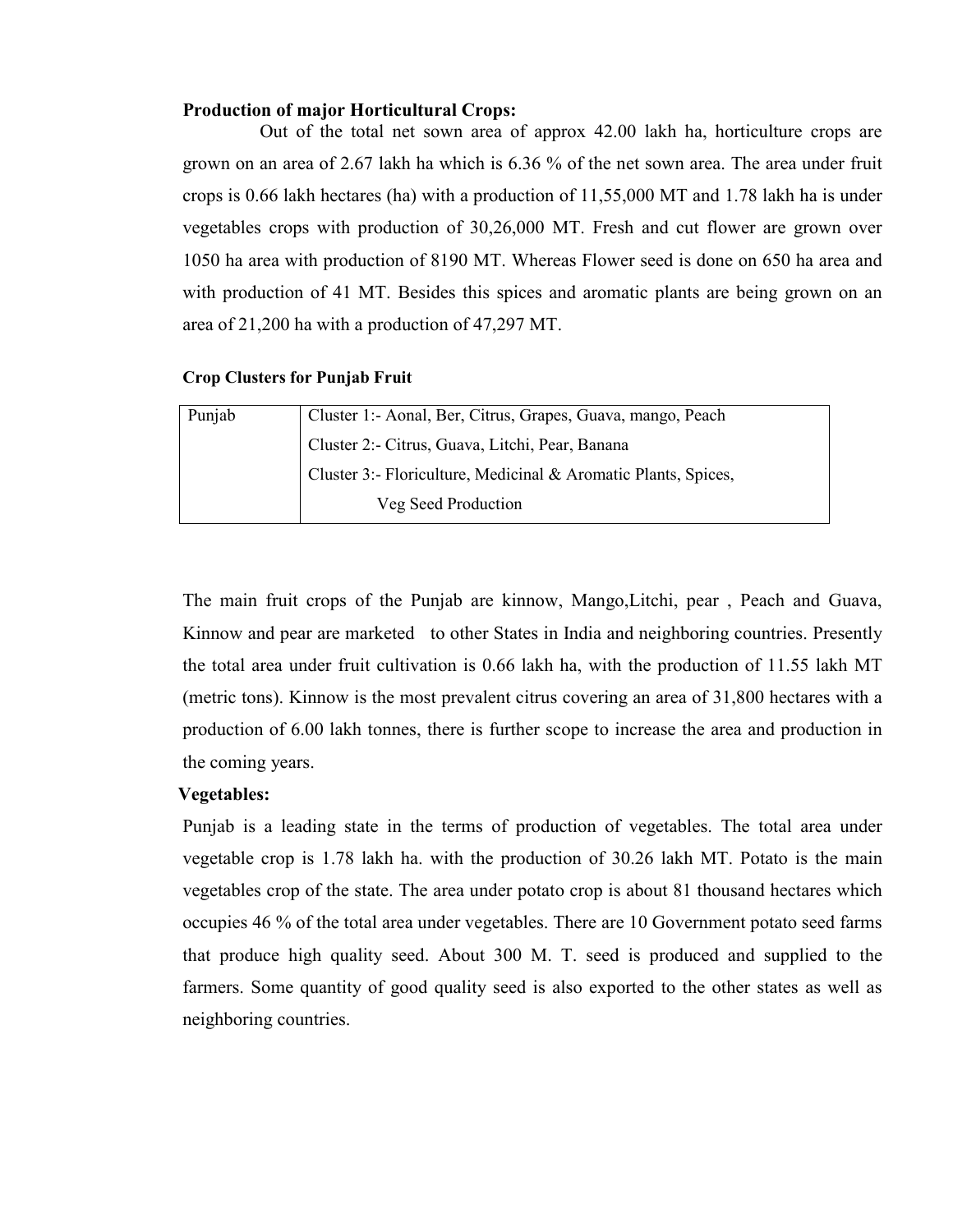#### Production of major Horticultural Crops:

Out of the total net sown area of approx 42.00 lakh ha, horticulture crops are grown on an area of 2.67 lakh ha which is 6.36 % of the net sown area. The area under fruit crops is 0.66 lakh hectares (ha) with a production of 11,55,000 MT and 1.78 lakh ha is under vegetables crops with production of 30,26,000 MT. Fresh and cut flower are grown over 1050 ha area with production of 8190 MT. Whereas Flower seed is done on 650 ha area and with production of 41 MT. Besides this spices and aromatic plants are being grown on an area of 21,200 ha with a production of 47,297 MT.

#### Crop Clusters for Punjab Fruit

| Punjab | Cluster 1:- Aonal, Ber, Citrus, Grapes, Guava, mango, Peach    |
|--------|----------------------------------------------------------------|
|        | Cluster 2:- Citrus, Guava, Litchi, Pear, Banana                |
|        | Cluster 3:- Floriculture, Medicinal & Aromatic Plants, Spices, |
|        | Veg Seed Production                                            |

The main fruit crops of the Punjab are kinnow, Mango,Litchi, pear , Peach and Guava, Kinnow and pear are marketed to other States in India and neighboring countries. Presently the total area under fruit cultivation is 0.66 lakh ha, with the production of 11.55 lakh MT (metric tons). Kinnow is the most prevalent citrus covering an area of 31,800 hectares with a production of 6.00 lakh tonnes, there is further scope to increase the area and production in the coming years.

#### Vegetables:

Punjab is a leading state in the terms of production of vegetables. The total area under vegetable crop is 1.78 lakh ha. with the production of 30.26 lakh MT. Potato is the main vegetables crop of the state. The area under potato crop is about 81 thousand hectares which occupies 46 % of the total area under vegetables. There are 10 Government potato seed farms that produce high quality seed. About 300 M. T. seed is produced and supplied to the farmers. Some quantity of good quality seed is also exported to the other states as well as neighboring countries.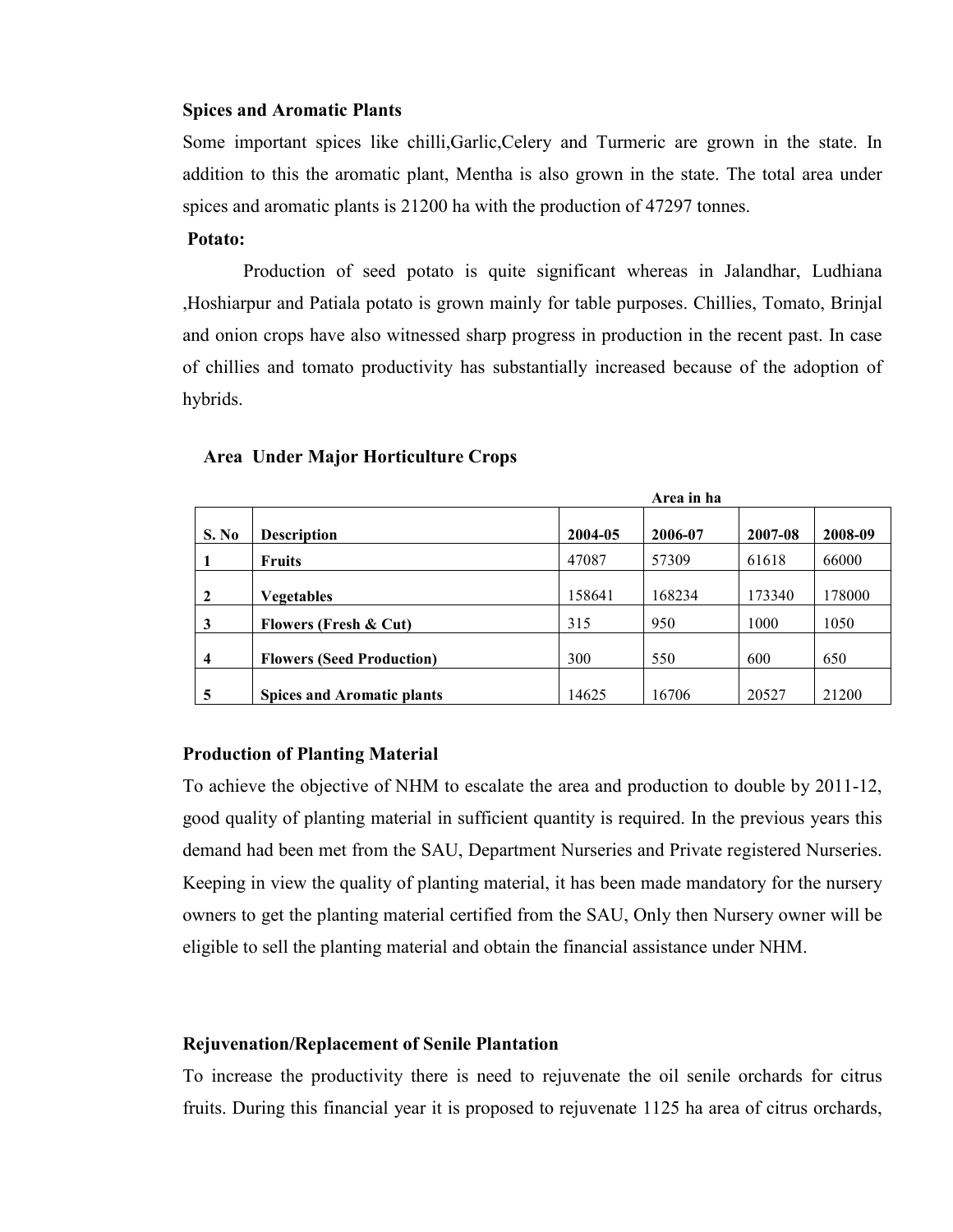#### Spices and Aromatic Plants

Some important spices like chilli,Garlic,Celery and Turmeric are grown in the state. In addition to this the aromatic plant, Mentha is also grown in the state. The total area under spices and aromatic plants is 21200 ha with the production of 47297 tonnes.

#### Potato:

 Production of seed potato is quite significant whereas in Jalandhar, Ludhiana ,Hoshiarpur and Patiala potato is grown mainly for table purposes. Chillies, Tomato, Brinjal and onion crops have also witnessed sharp progress in production in the recent past. In case of chillies and tomato productivity has substantially increased because of the adoption of hybrids.

#### Area Under Major Horticulture Crops

|       |                                   |         | Area in ha |         |         |
|-------|-----------------------------------|---------|------------|---------|---------|
| S. No | <b>Description</b>                | 2004-05 | 2006-07    | 2007-08 | 2008-09 |
|       | <b>Fruits</b>                     | 47087   | 57309      | 61618   | 66000   |
| 2     | <b>Vegetables</b>                 | 158641  | 168234     | 173340  | 178000  |
| 3     | <b>Flowers (Fresh &amp; Cut)</b>  | 315     | 950        | 1000    | 1050    |
| 4     | <b>Flowers (Seed Production)</b>  | 300     | 550        | 600     | 650     |
| 5     | <b>Spices and Aromatic plants</b> | 14625   | 16706      | 20527   | 21200   |

#### Production of Planting Material

To achieve the objective of NHM to escalate the area and production to double by 2011-12, good quality of planting material in sufficient quantity is required. In the previous years this demand had been met from the SAU, Department Nurseries and Private registered Nurseries. Keeping in view the quality of planting material, it has been made mandatory for the nursery owners to get the planting material certified from the SAU, Only then Nursery owner will be eligible to sell the planting material and obtain the financial assistance under NHM.

#### Rejuvenation/Replacement of Senile Plantation

To increase the productivity there is need to rejuvenate the oil senile orchards for citrus fruits. During this financial year it is proposed to rejuvenate 1125 ha area of citrus orchards,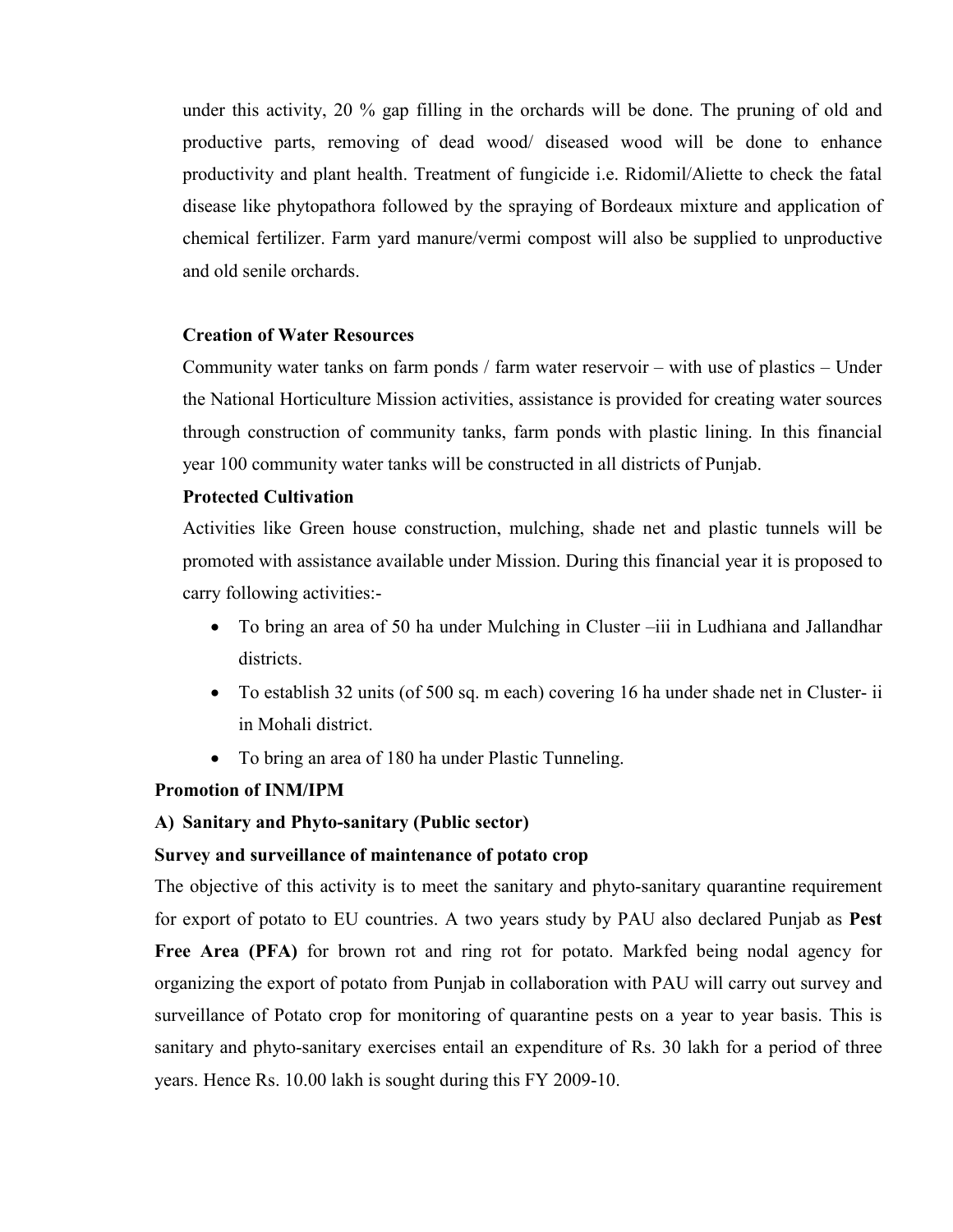under this activity, 20 % gap filling in the orchards will be done. The pruning of old and productive parts, removing of dead wood/ diseased wood will be done to enhance productivity and plant health. Treatment of fungicide i.e. Ridomil/Aliette to check the fatal disease like phytopathora followed by the spraying of Bordeaux mixture and application of chemical fertilizer. Farm yard manure/vermi compost will also be supplied to unproductive and old senile orchards.

#### Creation of Water Resources

 Community water tanks on farm ponds / farm water reservoir – with use of plastics – Under the National Horticulture Mission activities, assistance is provided for creating water sources through construction of community tanks, farm ponds with plastic lining. In this financial year 100 community water tanks will be constructed in all districts of Punjab.

#### Protected Cultivation

Activities like Green house construction, mulching, shade net and plastic tunnels will be promoted with assistance available under Mission. During this financial year it is proposed to carry following activities:-

- To bring an area of 50 ha under Mulching in Cluster –iii in Ludhiana and Jallandhar districts.
- To establish 32 units (of 500 sq. m each) covering 16 ha under shade net in Cluster- ii in Mohali district.
- To bring an area of 180 ha under Plastic Tunneling.

#### Promotion of INM/IPM

#### A) Sanitary and Phyto-sanitary (Public sector)

#### Survey and surveillance of maintenance of potato crop

The objective of this activity is to meet the sanitary and phyto-sanitary quarantine requirement for export of potato to EU countries. A two years study by PAU also declared Punjab as Pest Free Area (PFA) for brown rot and ring rot for potato. Markfed being nodal agency for organizing the export of potato from Punjab in collaboration with PAU will carry out survey and surveillance of Potato crop for monitoring of quarantine pests on a year to year basis. This is sanitary and phyto-sanitary exercises entail an expenditure of Rs. 30 lakh for a period of three years. Hence Rs. 10.00 lakh is sought during this FY 2009-10.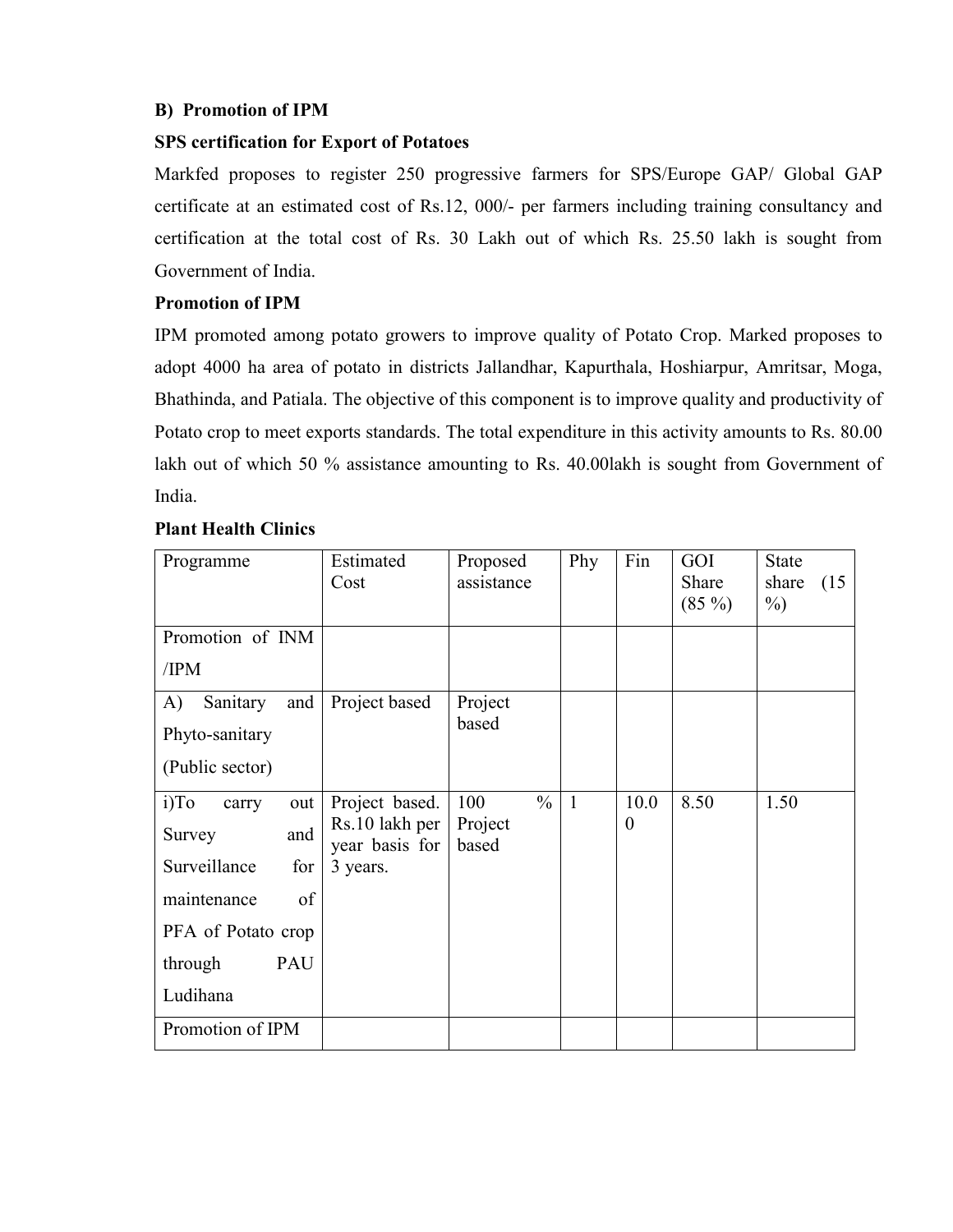## B) Promotion of IPM

# SPS certification for Export of Potatoes

Markfed proposes to register 250 progressive farmers for SPS/Europe GAP/ Global GAP certificate at an estimated cost of Rs.12, 000/- per farmers including training consultancy and certification at the total cost of Rs. 30 Lakh out of which Rs. 25.50 lakh is sought from Government of India.

## Promotion of IPM

IPM promoted among potato growers to improve quality of Potato Crop. Marked proposes to adopt 4000 ha area of potato in districts Jallandhar, Kapurthala, Hoshiarpur, Amritsar, Moga, Bhathinda, and Patiala. The objective of this component is to improve quality and productivity of Potato crop to meet exports standards. The total expenditure in this activity amounts to Rs. 80.00 lakh out of which 50 % assistance amounting to Rs. 40.00lakh is sought from Government of India.

## Plant Health Clinics

| Programme                                                                                                                                | Estimated<br>Cost                                              | Proposed<br>assistance                   | Phy          | Fin              | GOI<br>Share<br>$(85\%)$ | <b>State</b><br>share<br>(15<br>$\%$ ) |
|------------------------------------------------------------------------------------------------------------------------------------------|----------------------------------------------------------------|------------------------------------------|--------------|------------------|--------------------------|----------------------------------------|
| Promotion of INM<br>/IPM                                                                                                                 |                                                                |                                          |              |                  |                          |                                        |
| and<br>A)<br>Sanitary<br>Phyto-sanitary<br>(Public sector)                                                                               | Project based                                                  | Project<br>based                         |              |                  |                          |                                        |
| $i)$ To<br>out<br>carry<br>and<br>Survey<br>Surveillance<br>for<br>of<br>maintenance<br>PFA of Potato crop<br>PAU<br>through<br>Ludihana | Project based.<br>Rs.10 lakh per<br>year basis for<br>3 years. | $\frac{0}{0}$<br>100<br>Project<br>based | $\mathbf{1}$ | 10.0<br>$\theta$ | 8.50                     | 1.50                                   |
| Promotion of IPM                                                                                                                         |                                                                |                                          |              |                  |                          |                                        |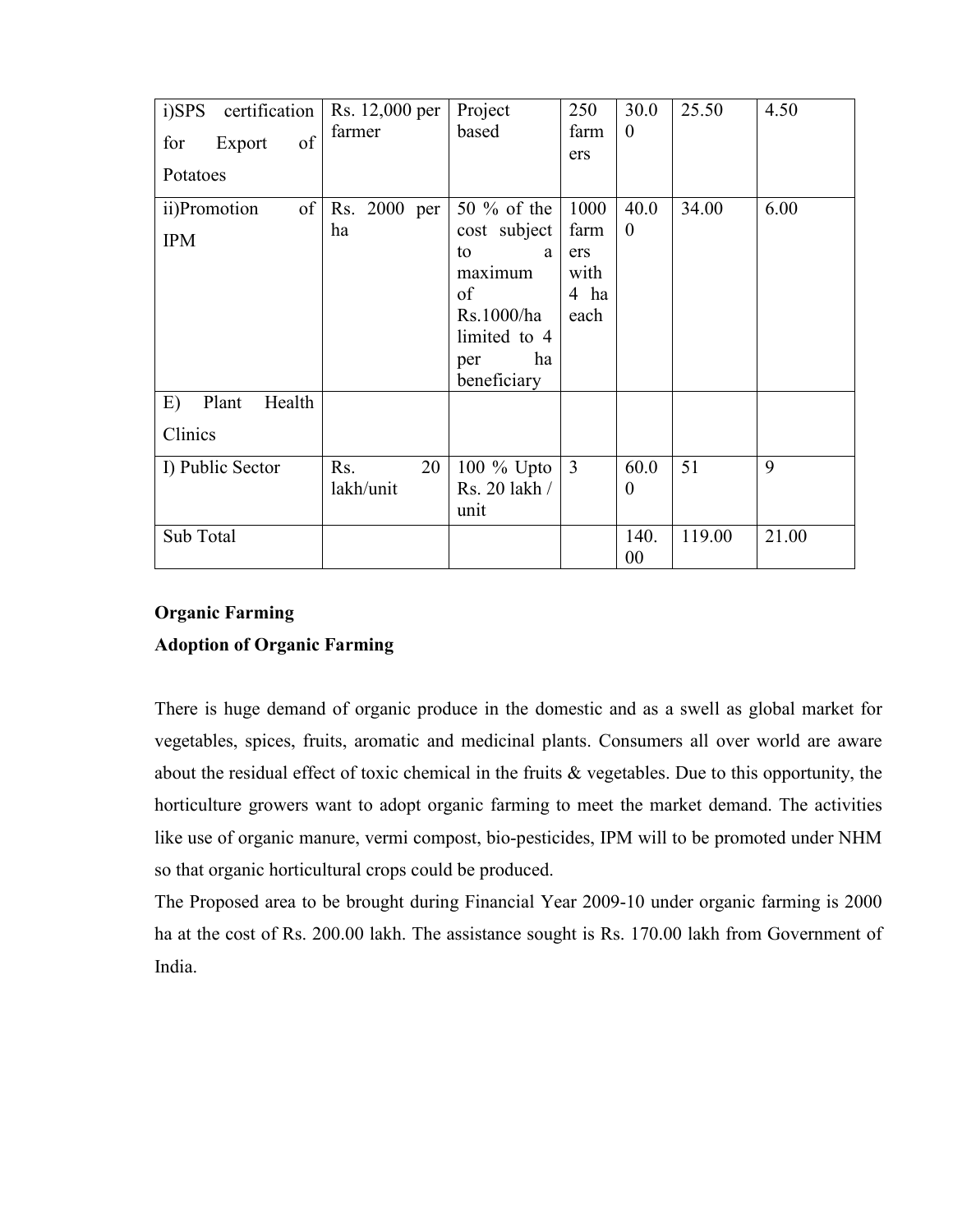| i)SPS<br>certification | Rs. 12,000 per | Project                  | 250  | 30.0       | 25.50  | 4.50  |
|------------------------|----------------|--------------------------|------|------------|--------|-------|
| of<br>Export<br>for    | farmer         | based                    | farm | $\theta$   |        |       |
| Potatoes               |                |                          | ers  |            |        |       |
| of<br>ii)Promotion     | Rs. 2000 per   | 50 $%$ of the            | 1000 | 40.0       | 34.00  | 6.00  |
| <b>IPM</b>             | ha             | cost subject             | farm | $\theta$   |        |       |
|                        |                | to<br>a                  | ers  |            |        |       |
|                        |                | maximum                  | with |            |        |       |
|                        |                | of                       | 4 ha |            |        |       |
|                        |                | Rs.1000/ha               | each |            |        |       |
|                        |                | limited to 4             |      |            |        |       |
|                        |                | ha<br>per<br>beneficiary |      |            |        |       |
| E)<br>Health<br>Plant  |                |                          |      |            |        |       |
| Clinics                |                |                          |      |            |        |       |
| I) Public Sector       | Rs.<br>20      | $100 \%$ Upto            | 3    | 60.0       | 51     | 9     |
|                        | lakh/unit      | Rs. 20 lakh /<br>unit    |      | $\theta$   |        |       |
| Sub Total              |                |                          |      | 140.<br>00 | 119.00 | 21.00 |

## Organic Farming

## Adoption of Organic Farming

There is huge demand of organic produce in the domestic and as a swell as global market for vegetables, spices, fruits, aromatic and medicinal plants. Consumers all over world are aware about the residual effect of toxic chemical in the fruits & vegetables. Due to this opportunity, the horticulture growers want to adopt organic farming to meet the market demand. The activities like use of organic manure, vermi compost, bio-pesticides, IPM will to be promoted under NHM so that organic horticultural crops could be produced.

The Proposed area to be brought during Financial Year 2009-10 under organic farming is 2000 ha at the cost of Rs. 200.00 lakh. The assistance sought is Rs. 170.00 lakh from Government of India.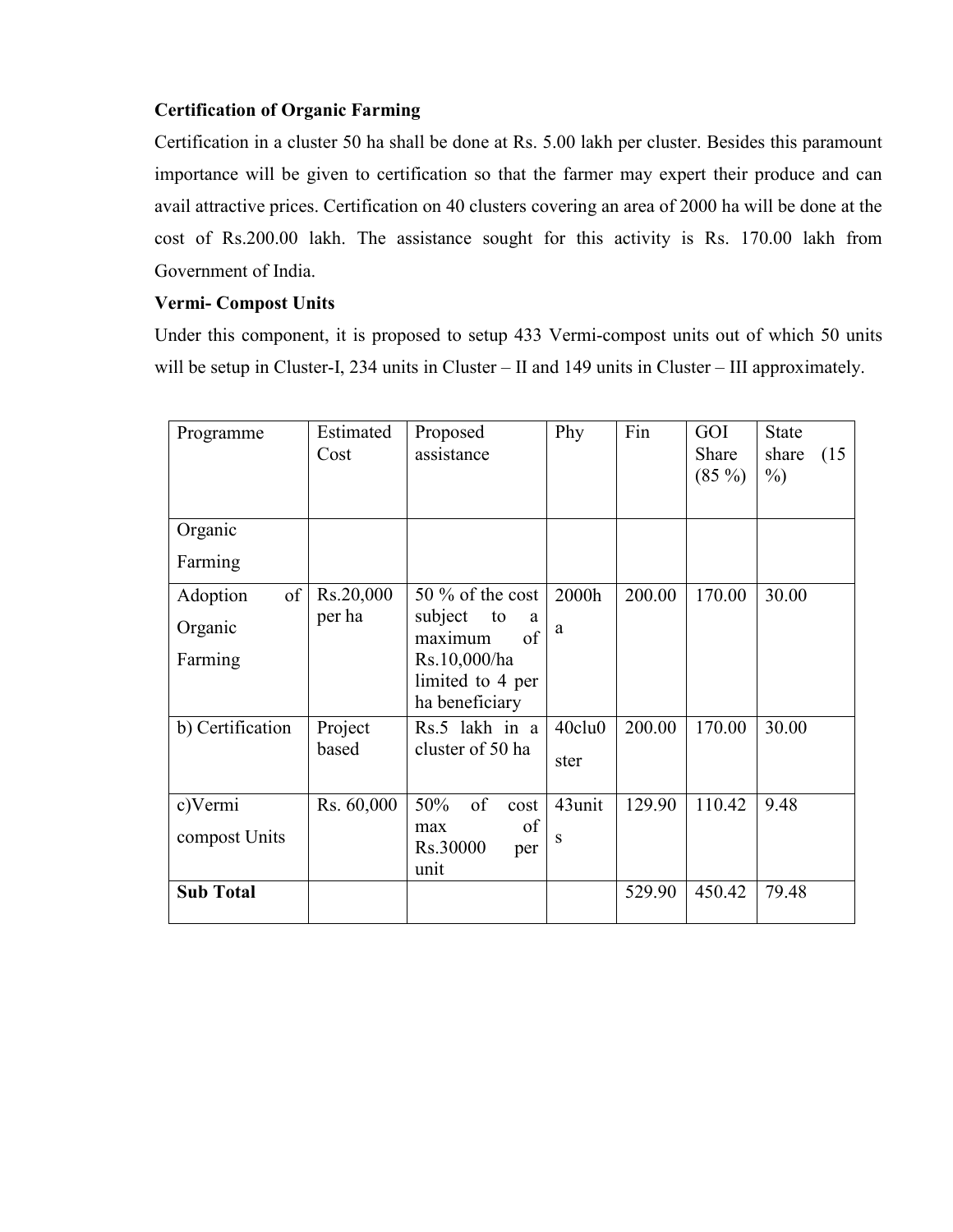# Certification of Organic Farming

Certification in a cluster 50 ha shall be done at Rs. 5.00 lakh per cluster. Besides this paramount importance will be given to certification so that the farmer may expert their produce and can avail attractive prices. Certification on 40 clusters covering an area of 2000 ha will be done at the cost of Rs.200.00 lakh. The assistance sought for this activity is Rs. 170.00 lakh from Government of India.

## Vermi- Compost Units

Under this component, it is proposed to setup 433 Vermi-compost units out of which 50 units will be setup in Cluster-I, 234 units in Cluster – II and 149 units in Cluster – III approximately.

| Programme        | Estimated<br>Cost | Proposed<br>assistance              | Phy                | Fin    | GOI<br>Share<br>$(85\%)$ | <b>State</b><br>share<br>(15<br>$\%$ ) |
|------------------|-------------------|-------------------------------------|--------------------|--------|--------------------------|----------------------------------------|
| Organic          |                   |                                     |                    |        |                          |                                        |
| Farming          |                   |                                     |                    |        |                          |                                        |
| of<br>Adoption   | Rs.20,000         | $50\%$ of the cost                  | 2000h              | 200.00 | 170.00                   | 30.00                                  |
| Organic          | per ha            | subject<br>to<br>a<br>of<br>maximum | a                  |        |                          |                                        |
| Farming          |                   | Rs.10,000/ha                        |                    |        |                          |                                        |
|                  |                   | limited to 4 per<br>ha beneficiary  |                    |        |                          |                                        |
| b) Certification | Project           | Rs.5 lakh in a                      | 40clu <sub>0</sub> | 200.00 | 170.00                   | 30.00                                  |
|                  | based             | cluster of 50 ha                    | ster               |        |                          |                                        |
| c)Vermi          | Rs. 60,000        | 50%<br>of<br>cost                   | 43unit             | 129.90 | 110.42                   | 9.48                                   |
| compost Units    |                   | of<br>max<br>Rs.30000<br>per        | S                  |        |                          |                                        |
|                  |                   | unit                                |                    |        |                          |                                        |
| <b>Sub Total</b> |                   |                                     |                    | 529.90 | 450.42                   | 79.48                                  |
|                  |                   |                                     |                    |        |                          |                                        |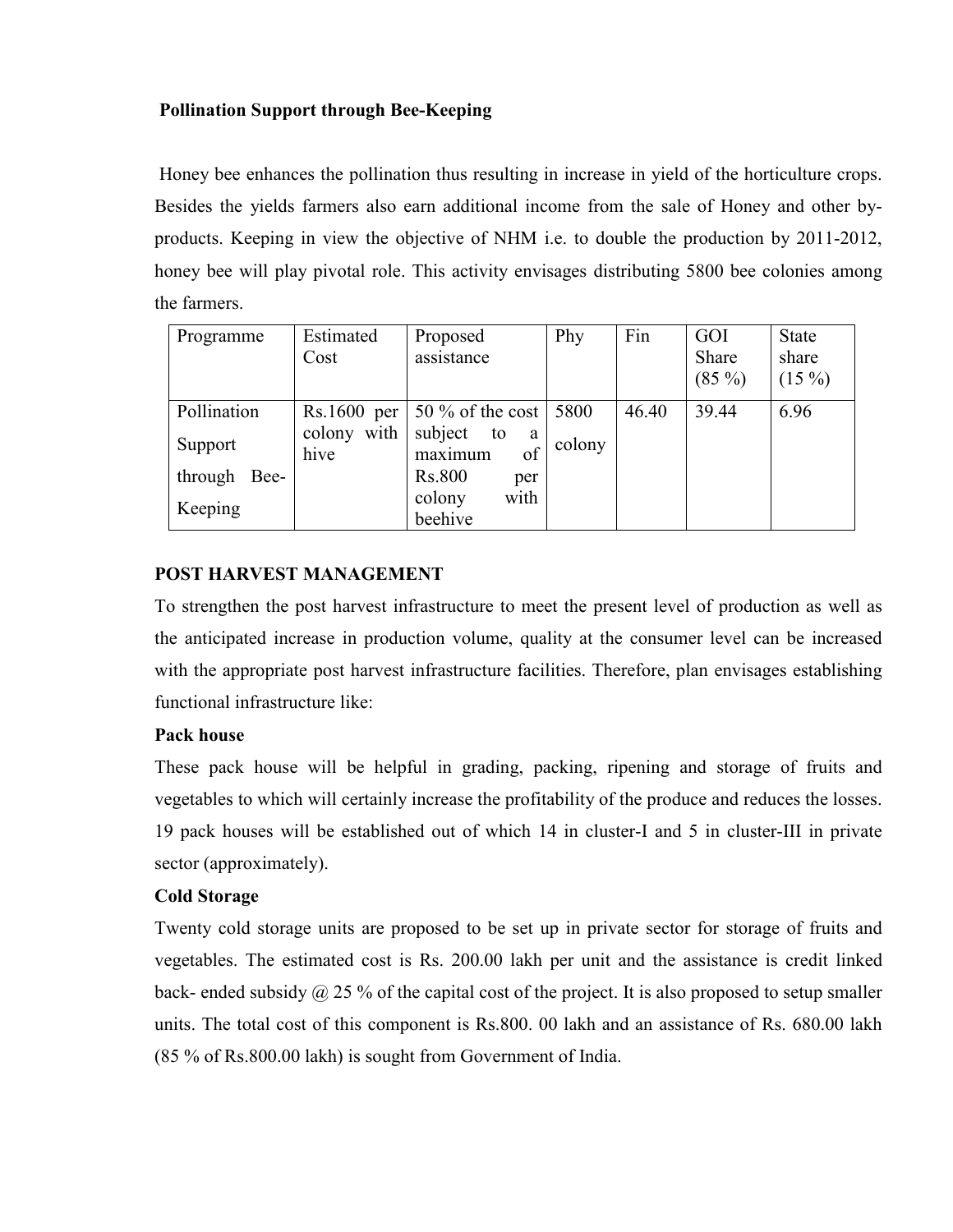# Pollination Support through Bee-Keeping

 Honey bee enhances the pollination thus resulting in increase in yield of the horticulture crops. Besides the yields farmers also earn additional income from the sale of Honey and other byproducts. Keeping in view the objective of NHM i.e. to double the production by 2011-2012, honey bee will play pivotal role. This activity envisages distributing 5800 bee colonies among the farmers.

| Programme    | Estimated           | Proposed                            | Phy    | Fin   | GOI      | <b>State</b> |
|--------------|---------------------|-------------------------------------|--------|-------|----------|--------------|
|              | Cost                | assistance                          |        |       | Share    | share        |
|              |                     |                                     |        |       | $(85\%)$ | $(15\%)$     |
| Pollination  | $Rs.1600$ per       | $50\%$ of the cost                  | 5800   | 46.40 | 39.44    | 6.96         |
| Support      | colony with<br>hive | subject<br>to<br>a<br>of<br>maximum | colony |       |          |              |
| through Bee- |                     | Rs.800<br>per                       |        |       |          |              |
| Keeping      |                     | with<br>colony                      |        |       |          |              |
|              |                     | beehive                             |        |       |          |              |

# POST HARVEST MANAGEMENT

To strengthen the post harvest infrastructure to meet the present level of production as well as the anticipated increase in production volume, quality at the consumer level can be increased with the appropriate post harvest infrastructure facilities. Therefore, plan envisages establishing functional infrastructure like:

## Pack house

These pack house will be helpful in grading, packing, ripening and storage of fruits and vegetables to which will certainly increase the profitability of the produce and reduces the losses. 19 pack houses will be established out of which 14 in cluster-I and 5 in cluster-III in private sector (approximately).

# Cold Storage

Twenty cold storage units are proposed to be set up in private sector for storage of fruits and vegetables. The estimated cost is Rs. 200.00 lakh per unit and the assistance is credit linked back- ended subsidy  $\omega$  25 % of the capital cost of the project. It is also proposed to setup smaller units. The total cost of this component is Rs.800. 00 lakh and an assistance of Rs. 680.00 lakh (85 % of Rs.800.00 lakh) is sought from Government of India.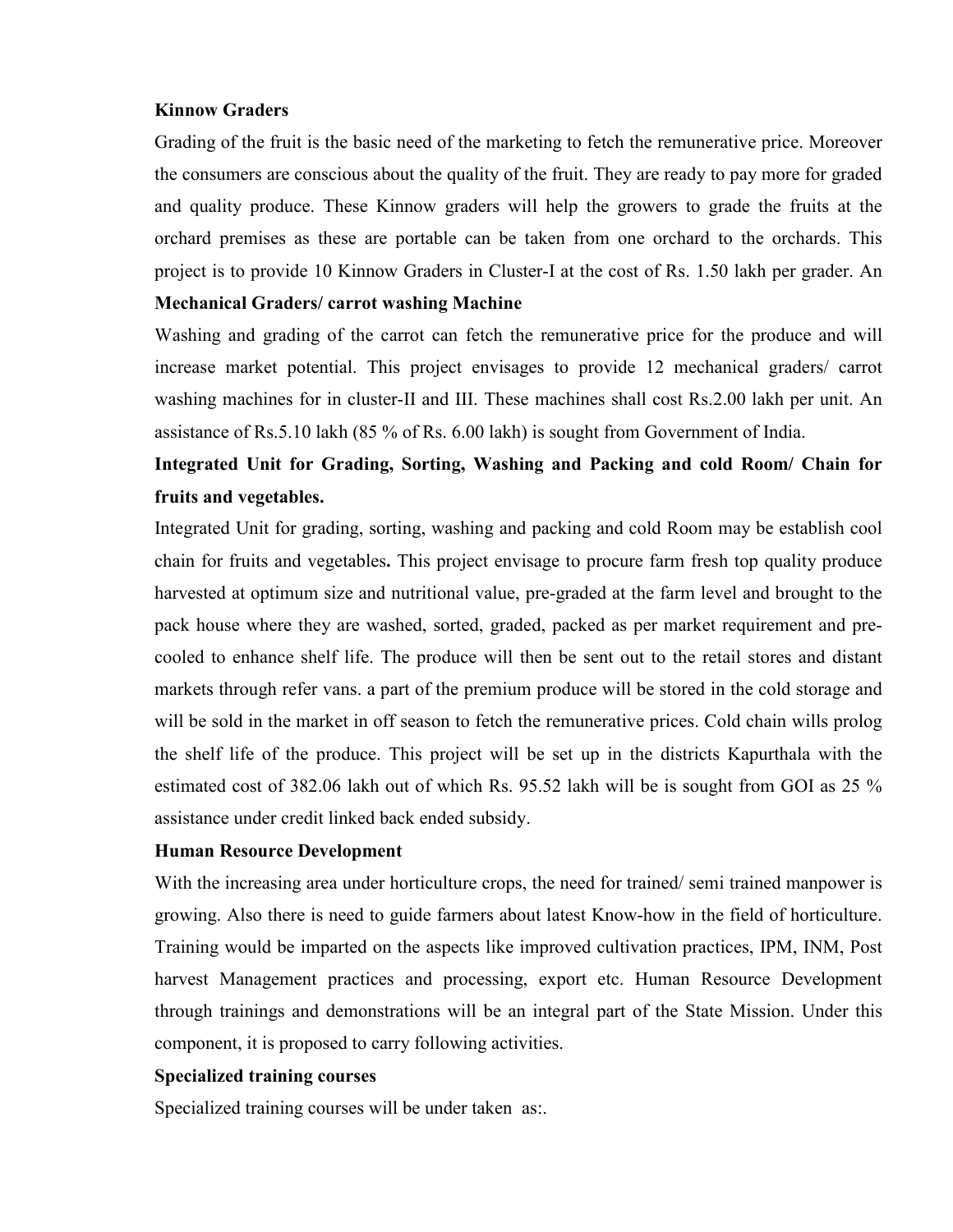#### Kinnow Graders

Grading of the fruit is the basic need of the marketing to fetch the remunerative price. Moreover the consumers are conscious about the quality of the fruit. They are ready to pay more for graded and quality produce. These Kinnow graders will help the growers to grade the fruits at the orchard premises as these are portable can be taken from one orchard to the orchards. This project is to provide 10 Kinnow Graders in Cluster-I at the cost of Rs. 1.50 lakh per grader. An

#### Mechanical Graders/ carrot washing Machine

Washing and grading of the carrot can fetch the remunerative price for the produce and will increase market potential. This project envisages to provide 12 mechanical graders/ carrot washing machines for in cluster-II and III. These machines shall cost Rs.2.00 lakh per unit. An assistance of Rs.5.10 lakh (85 % of Rs. 6.00 lakh) is sought from Government of India.

# Integrated Unit for Grading, Sorting, Washing and Packing and cold Room/ Chain for fruits and vegetables.

Integrated Unit for grading, sorting, washing and packing and cold Room may be establish cool chain for fruits and vegetables. This project envisage to procure farm fresh top quality produce harvested at optimum size and nutritional value, pre-graded at the farm level and brought to the pack house where they are washed, sorted, graded, packed as per market requirement and precooled to enhance shelf life. The produce will then be sent out to the retail stores and distant markets through refer vans. a part of the premium produce will be stored in the cold storage and will be sold in the market in off season to fetch the remunerative prices. Cold chain wills prolog the shelf life of the produce. This project will be set up in the districts Kapurthala with the estimated cost of 382.06 lakh out of which Rs. 95.52 lakh will be is sought from GOI as 25 % assistance under credit linked back ended subsidy.

### Human Resource Development

With the increasing area under horticulture crops, the need for trained/ semi trained manpower is growing. Also there is need to guide farmers about latest Know-how in the field of horticulture. Training would be imparted on the aspects like improved cultivation practices, IPM, INM, Post harvest Management practices and processing, export etc. Human Resource Development through trainings and demonstrations will be an integral part of the State Mission. Under this component, it is proposed to carry following activities.

#### Specialized training courses

Specialized training courses will be under taken as:.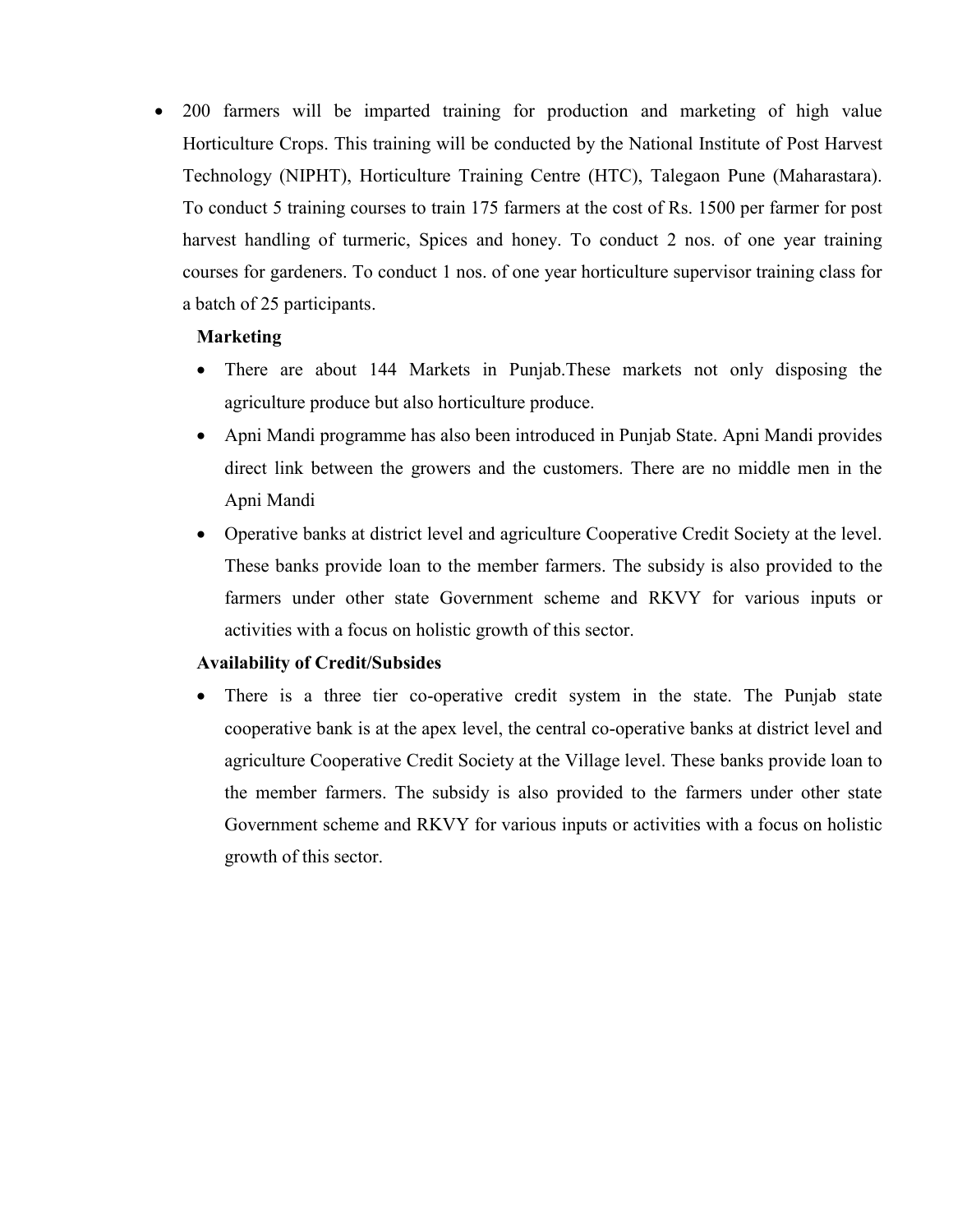• 200 farmers will be imparted training for production and marketing of high value Horticulture Crops. This training will be conducted by the National Institute of Post Harvest Technology (NIPHT), Horticulture Training Centre (HTC), Talegaon Pune (Maharastara). To conduct 5 training courses to train 175 farmers at the cost of Rs. 1500 per farmer for post harvest handling of turmeric, Spices and honey. To conduct 2 nos. of one year training courses for gardeners. To conduct 1 nos. of one year horticulture supervisor training class for a batch of 25 participants.

## Marketing

- There are about 144 Markets in Punjab. These markets not only disposing the agriculture produce but also horticulture produce.
- Apni Mandi programme has also been introduced in Punjab State. Apni Mandi provides direct link between the growers and the customers. There are no middle men in the Apni Mandi
- Operative banks at district level and agriculture Cooperative Credit Society at the level. These banks provide loan to the member farmers. The subsidy is also provided to the farmers under other state Government scheme and RKVY for various inputs or activities with a focus on holistic growth of this sector.

## Availability of Credit/Subsides

• There is a three tier co-operative credit system in the state. The Punjab state cooperative bank is at the apex level, the central co-operative banks at district level and agriculture Cooperative Credit Society at the Village level. These banks provide loan to the member farmers. The subsidy is also provided to the farmers under other state Government scheme and RKVY for various inputs or activities with a focus on holistic growth of this sector.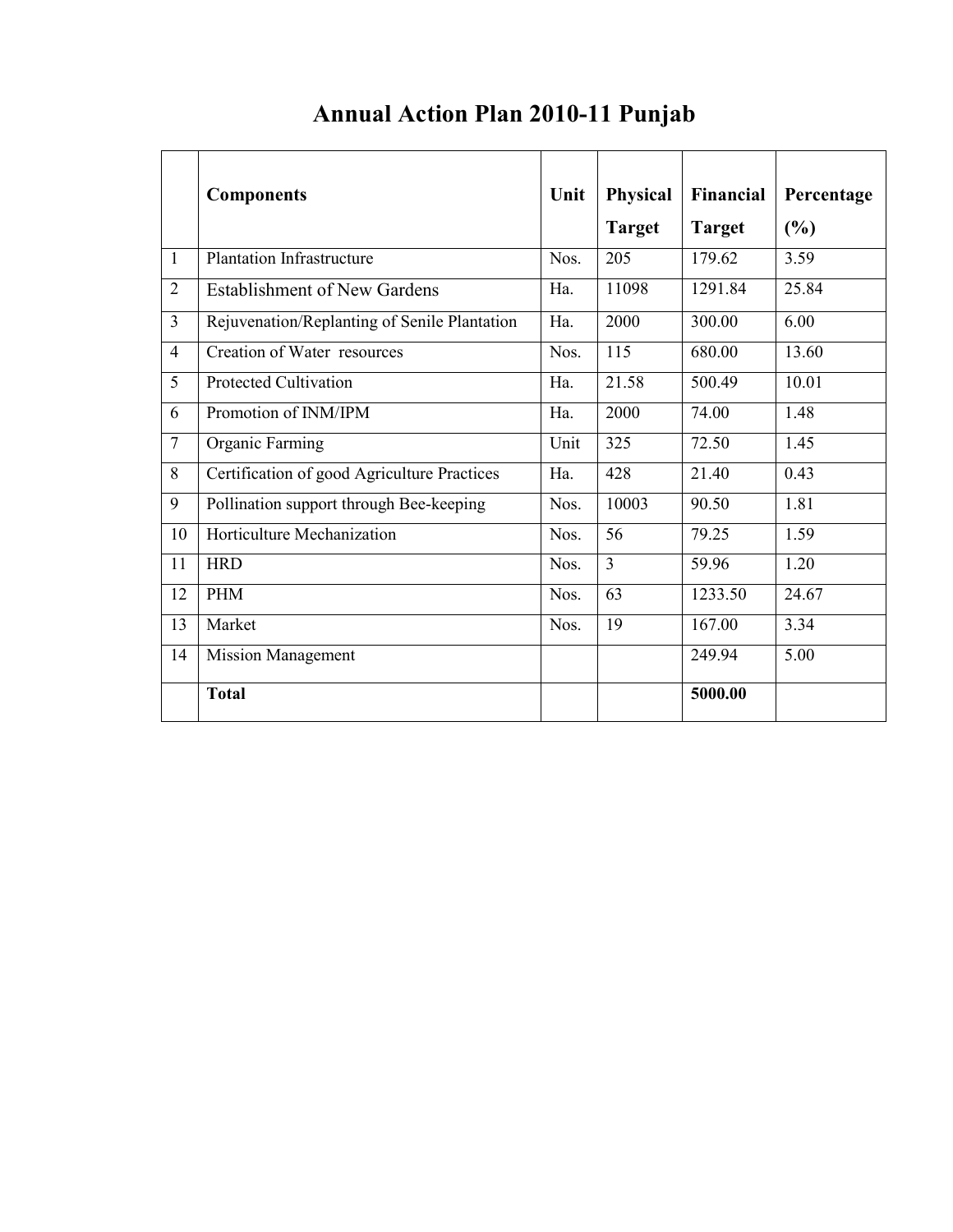|                | <b>Components</b>                            | Unit | <b>Physical</b> | Financial     | Percentage |
|----------------|----------------------------------------------|------|-----------------|---------------|------------|
|                |                                              |      | <b>Target</b>   | <b>Target</b> | (%)        |
| 1              | <b>Plantation Infrastructure</b>             | Nos. | 205             | 179.62        | 3.59       |
| $\overline{2}$ | <b>Establishment of New Gardens</b>          | Ha.  | 11098           | 1291.84       | 25.84      |
| $\overline{3}$ | Rejuvenation/Replanting of Senile Plantation | Ha.  | 2000            | 300.00        | 6.00       |
| $\overline{4}$ | Creation of Water resources                  | Nos. | 115             | 680.00        | 13.60      |
| 5              | <b>Protected Cultivation</b>                 | Ha.  | 21.58           | 500.49        | 10.01      |
| 6              | Promotion of INM/IPM                         | Ha.  | 2000            | 74.00         | 1.48       |
| $\overline{7}$ | Organic Farming                              | Unit | 325             | 72.50         | 1.45       |
| 8              | Certification of good Agriculture Practices  | Ha.  | 428             | 21.40         | 0.43       |
| 9              | Pollination support through Bee-keeping      | Nos. | 10003           | 90.50         | 1.81       |
| 10             | Horticulture Mechanization                   | Nos. | 56              | 79.25         | 1.59       |
| 11             | <b>HRD</b>                                   | Nos. | 3               | 59.96         | 1.20       |
| 12             | <b>PHM</b>                                   | Nos. | 63              | 1233.50       | 24.67      |
| 13             | Market                                       | Nos. | 19              | 167.00        | 3.34       |
| 14             | <b>Mission Management</b>                    |      |                 | 249.94        | 5.00       |
|                | <b>Total</b>                                 |      |                 | 5000.00       |            |

# Annual Action Plan 2010-11 Punjab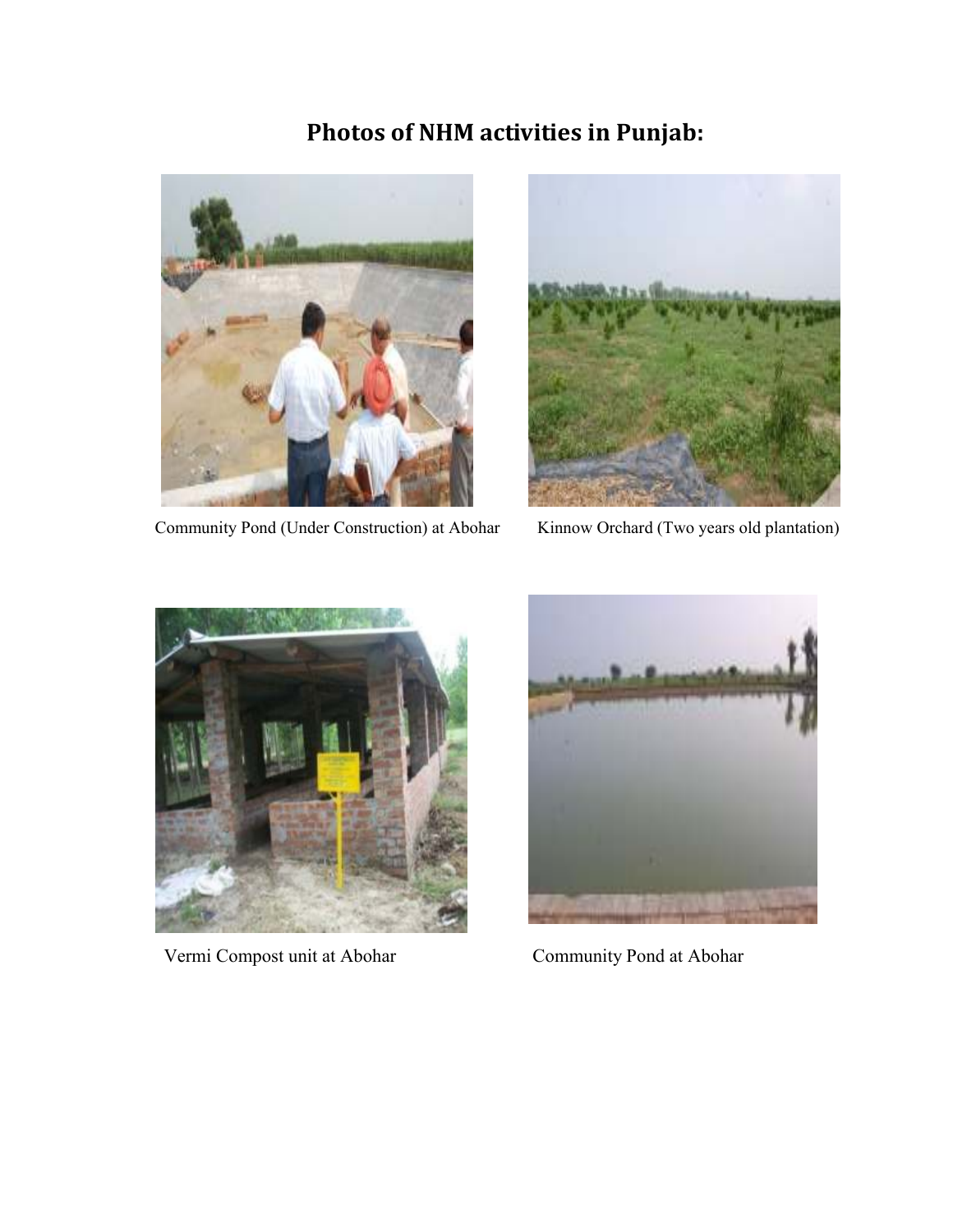# Photos of NHM activities in Punjab:



Community Pond (Under Construction) at Abohar Kinnow Orchard (Two years old plantation)





Vermi Compost unit at Abohar Community Pond at Abohar

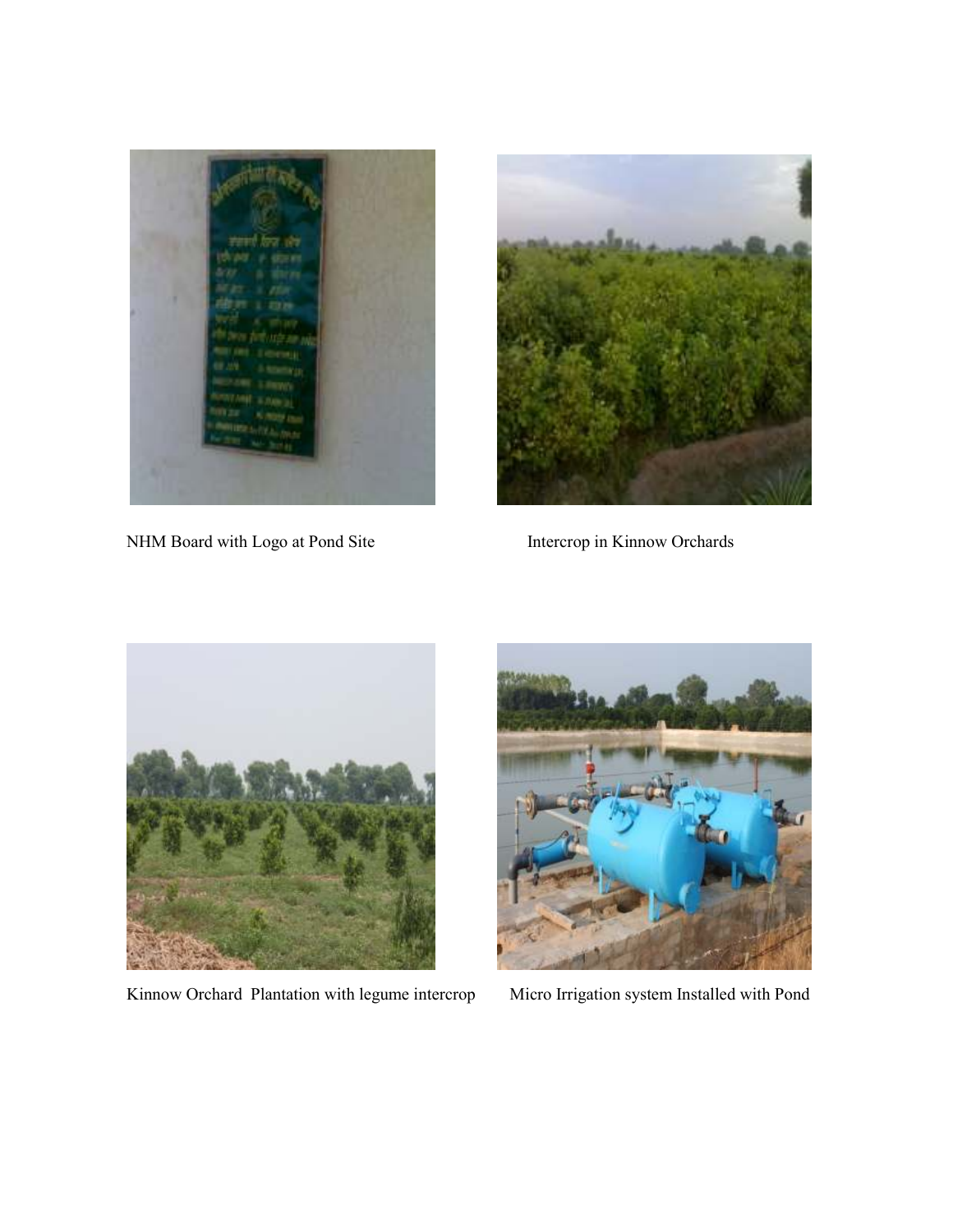

NHM Board with Logo at Pond Site Intercrop in Kinnow Orchards





Kinnow Orchard Plantation with legume intercrop Micro Irrigation system Installed with Pond

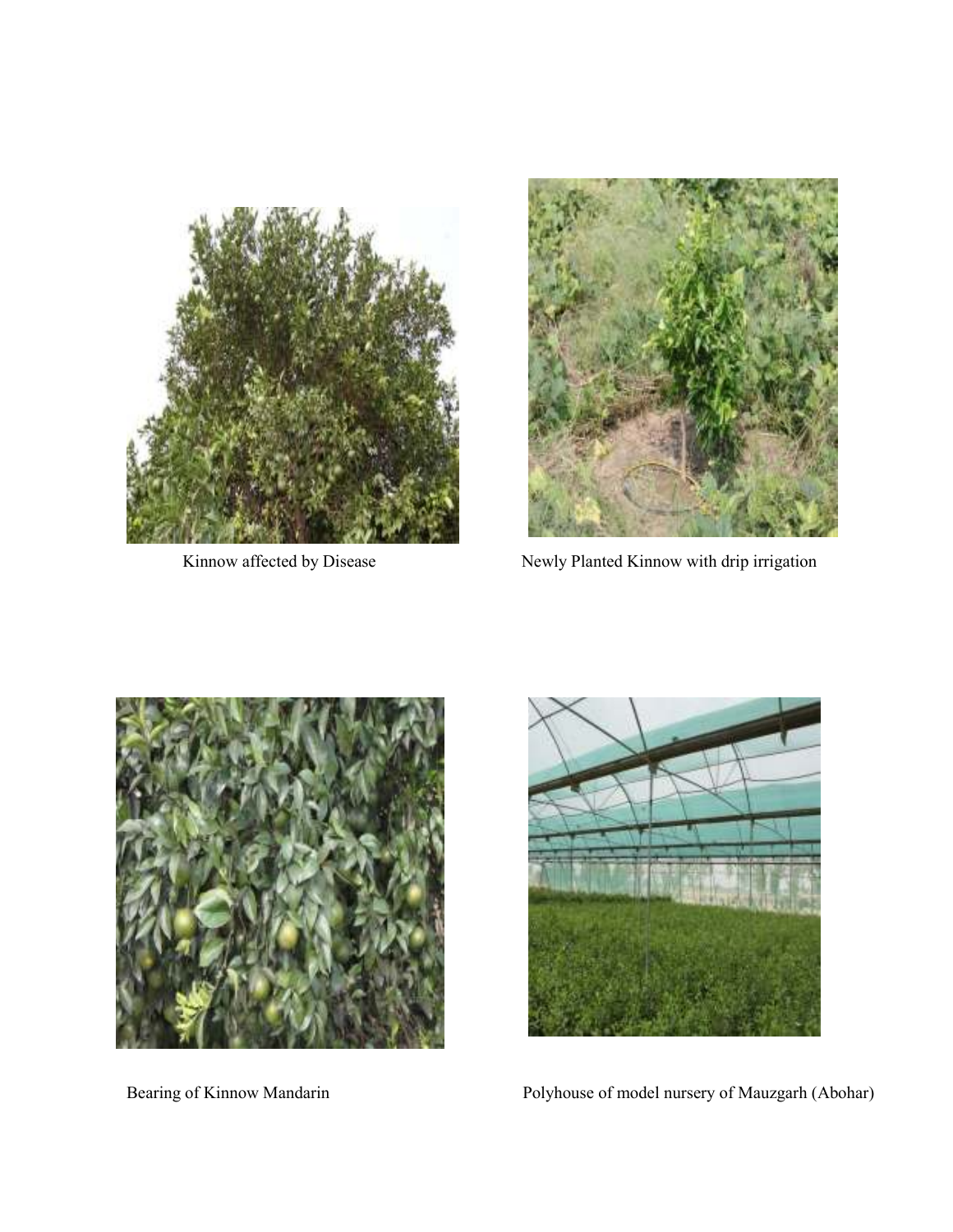



Kinnow affected by Disease Newly Planted Kinnow with drip irrigation





Bearing of Kinnow Mandarin Polyhouse of model nursery of Mauzgarh (Abohar)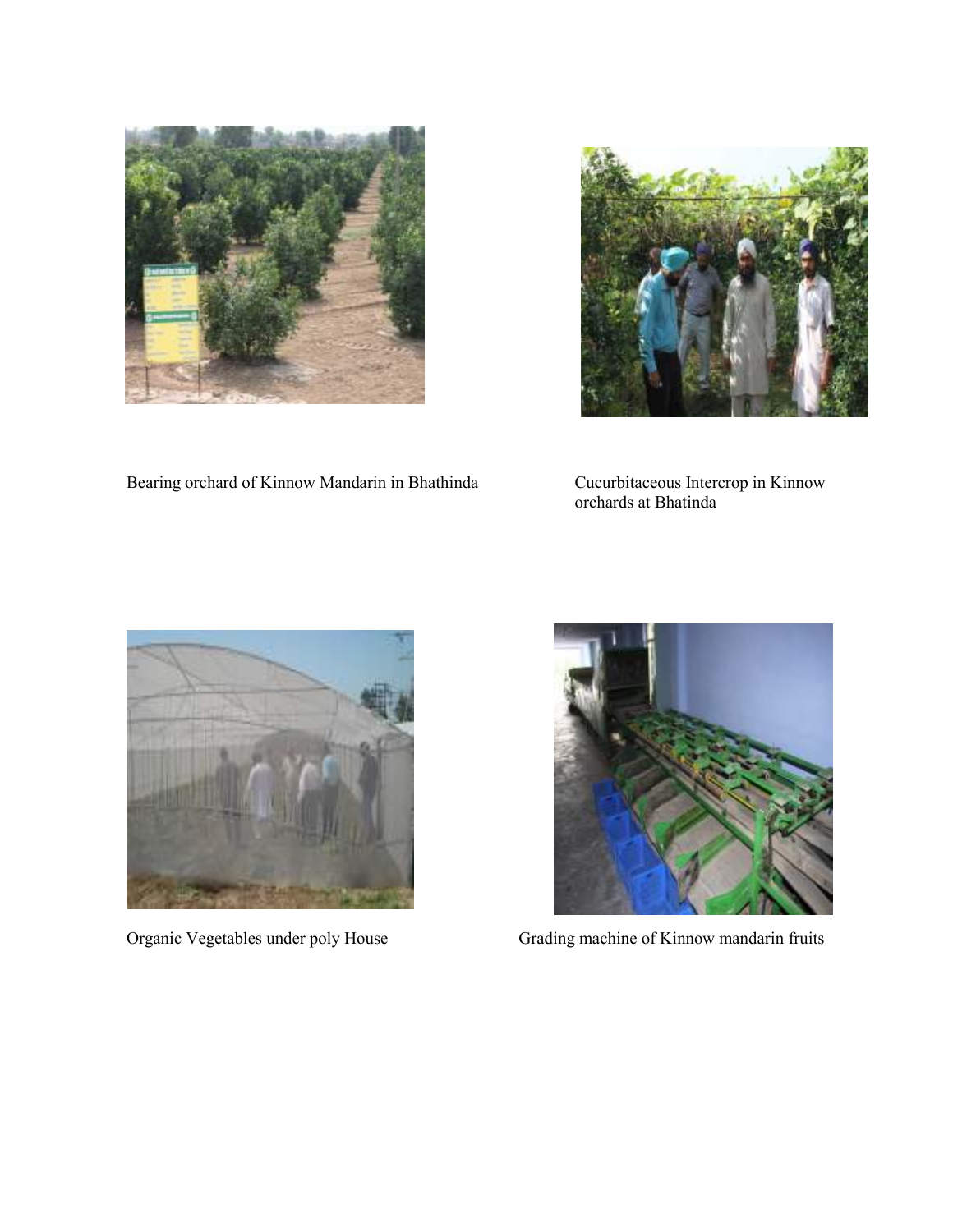



Bearing orchard of Kinnow Mandarin in Bhathinda

Cucurbitaceous Intercrop in Kinnow<br>orchards at Bhatinda





Organic Vegetables under poly House Grading machine of Kinnow mandarin fruits